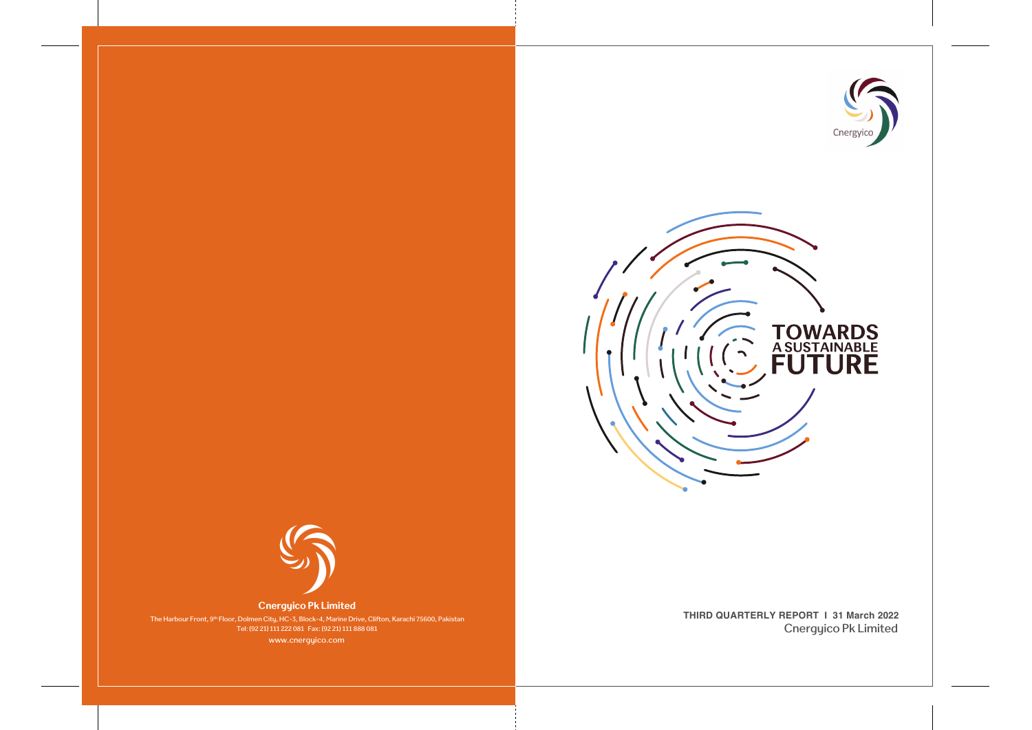



Cnergyico Pk Limited **THIRD QUARTERLY REPORT | 31 March 2022**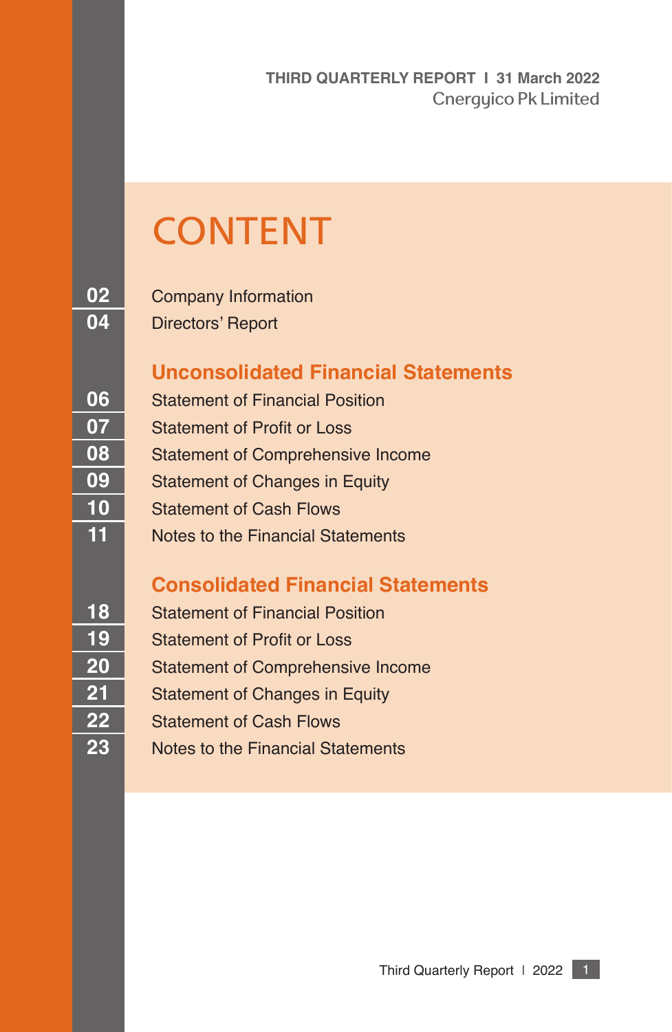**THIRD QUARTERLY REPORT I 31 March 2022** Cnergyico Pk Limited

# **CONTENT**

Company Information

Directors' Report

# **Unconsolidated Financial Statements**

 Statement of Financial Position Statement of Profit or Loss Statement of Comprehensive Income Statement of Changes in Equity Statement of Cash Flows Notes to the Financial Statements

# **Consolidated Financial Statements**

- Statement of Financial Position
- Statement of Profit or Loss
- Statement of Comprehensive Income
- 21 Statement of Changes in Equity
- Statement of Cash Flows
- Notes to the Financial Statements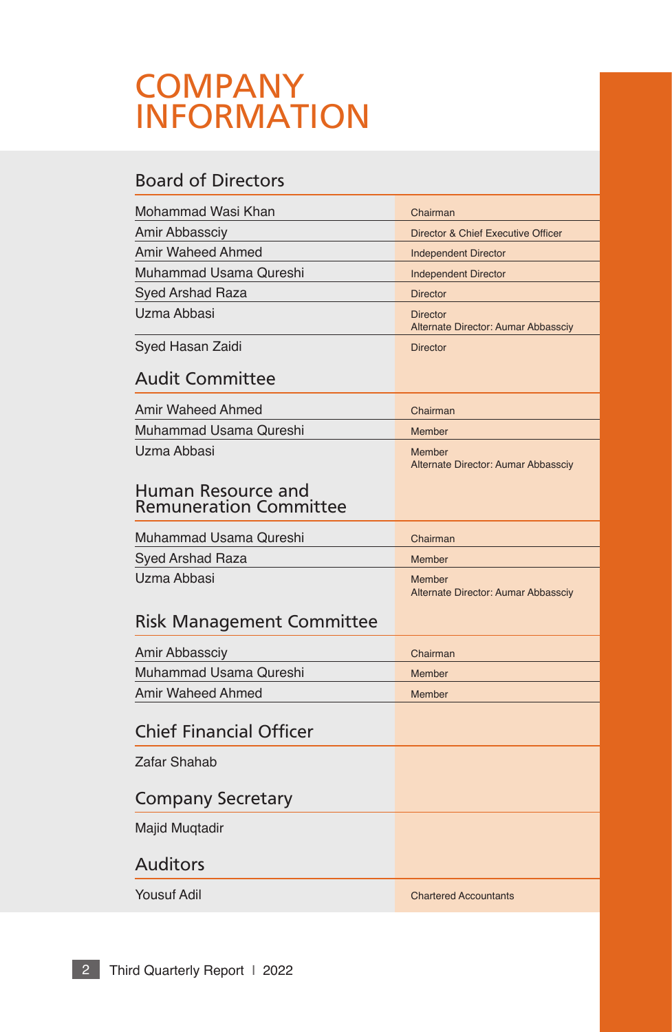# **COMPANY** INFORMATION

# Board of Directors

| Mohammad Wasi Khan                                  | Chairman                                               |
|-----------------------------------------------------|--------------------------------------------------------|
| Amir Abbassciy                                      | Director & Chief Executive Officer                     |
| <b>Amir Waheed Ahmed</b>                            | <b>Independent Director</b>                            |
| Muhammad Usama Qureshi                              | <b>Independent Director</b>                            |
| <b>Syed Arshad Raza</b>                             | <b>Director</b>                                        |
| Uzma Abbasi                                         | <b>Director</b><br>Alternate Director: Aumar Abbassciy |
| Syed Hasan Zaidi                                    | <b>Director</b>                                        |
| <b>Audit Committee</b>                              |                                                        |
| Amir Waheed Ahmed                                   | Chairman                                               |
| Muhammad Usama Qureshi                              | Member                                                 |
| Uzma Abbasi                                         | Member<br>Alternate Director: Aumar Abbassciy          |
| Human Resource and<br><b>Remuneration Committee</b> |                                                        |
| Muhammad Usama Qureshi                              | Chairman                                               |
| Syed Arshad Raza                                    | Member                                                 |
| Uzma Abbasi                                         | Member<br>Alternate Director: Aumar Abbassciy          |
| <b>Risk Management Committee</b>                    |                                                        |
| Amir Abbassciy                                      | Chairman                                               |
| Muhammad Usama Qureshi                              | Member                                                 |
| Amir Waheed Ahmed                                   | Member                                                 |
| <b>Chief Financial Officer</b>                      |                                                        |
| Zafar Shahab                                        |                                                        |
| <b>Company Secretary</b>                            |                                                        |
| Majid Muqtadir                                      |                                                        |
| <b>Auditors</b>                                     |                                                        |
| <b>Yousuf Adil</b>                                  | <b>Chartered Accountants</b>                           |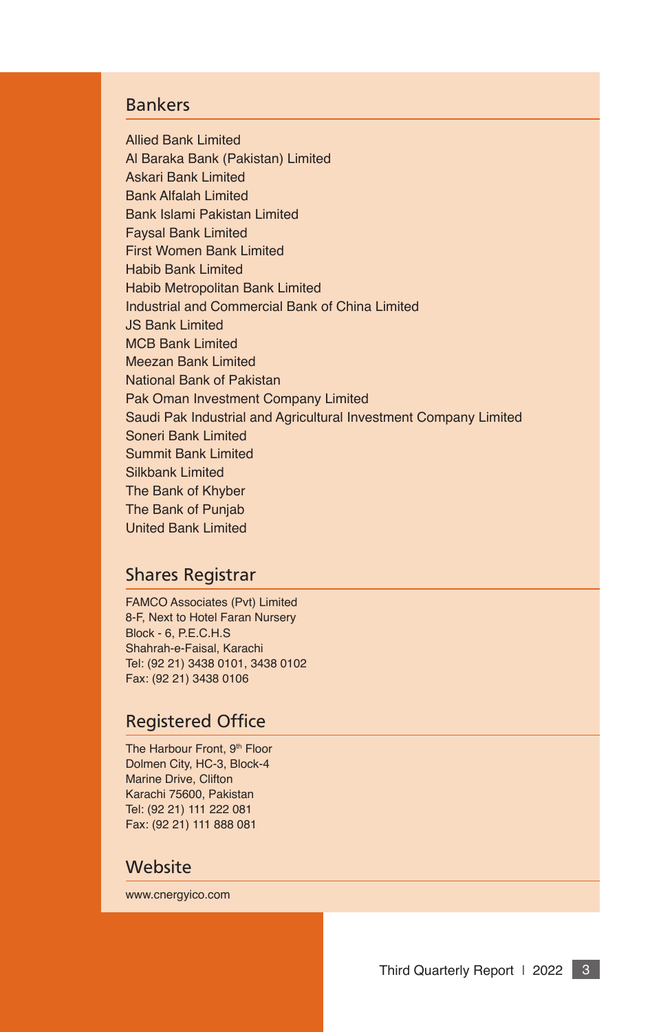# Bankers

Allied Bank Limited Al Baraka Bank (Pakistan) Limited Askari Bank Limited Bank Alfalah Limited Bank Islami Pakistan Limited Faysal Bank Limited First Women Bank Limited Habib Bank Limited Habib Metropolitan Bank Limited Industrial and Commercial Bank of China Limited JS Bank Limited MCB Bank Limited Meezan Bank Limited National Bank of Pakistan Pak Oman Investment Company Limited Saudi Pak Industrial and Agricultural Investment Company Limited Soneri Bank Limited Summit Bank Limited Silkbank Limited The Bank of Khyber The Bank of Punjab United Bank Limited

# Shares Registrar

FAMCO Associates (Pvt) Limited 8-F, Next to Hotel Faran Nursery Block - 6, P.E.C.H.S Shahrah-e-Faisal, Karachi Tel: (92 21) 3438 0101, 3438 0102 Fax: (92 21) 3438 0106

## Registered Office

The Harbour Front, 9<sup>th</sup> Floor Dolmen City, HC-3, Block-4 Marine Drive, Clifton Karachi 75600, Pakistan Tel: (92 21) 111 222 081 Fax: (92 21) 111 888 081

## **Website**

www.cnergyico.com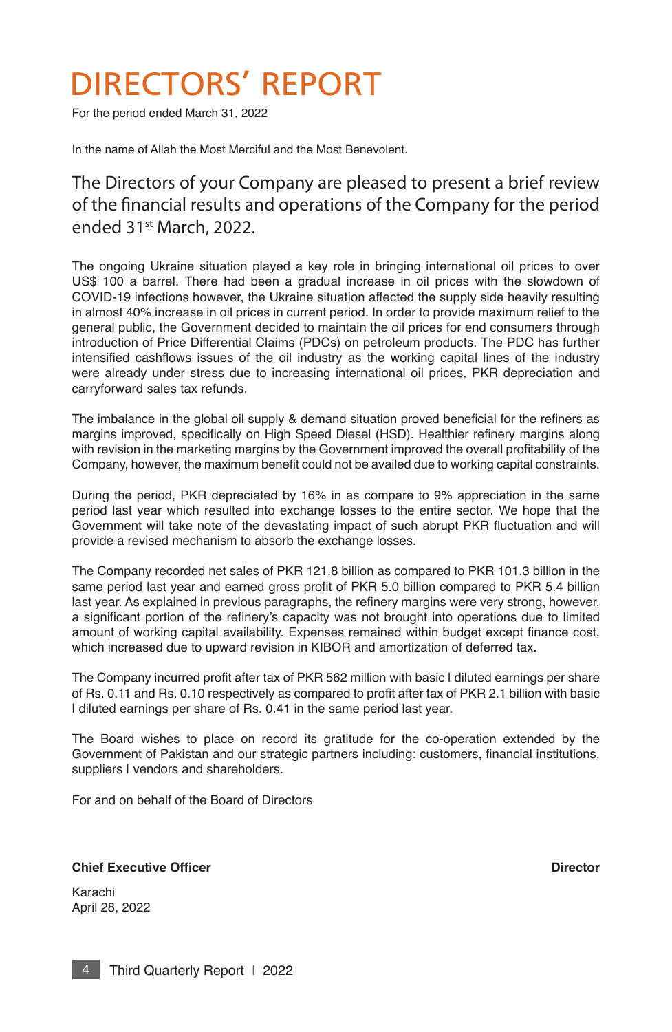# DIRECTORS' REPORT

For the period ended March 31, 2022

In the name of Allah the Most Merciful and the Most Benevolent.

# The Directors of your Company are pleased to present a brief review of the fnancial results and operations of the Company for the period ended 31st March, 2022.

The ongoing Ukraine situation played a key role in bringing international oil prices to over US\$ 100 a barrel. There had been a gradual increase in oil prices with the slowdown of COVID-19 infections however, the Ukraine situation affected the supply side heavily resulting in almost 40% increase in oil prices in current period. In order to provide maximum relief to the general public, the Government decided to maintain the oil prices for end consumers through introduction of Price Differential Claims (PDCs) on petroleum products. The PDC has further intensifed cashfows issues of the oil industry as the working capital lines of the industry were already under stress due to increasing international oil prices, PKR depreciation and carryforward sales tax refunds.

The imbalance in the global oil supply & demand situation proved beneficial for the refiners as margins improved, specifcally on High Speed Diesel (HSD). Healthier refnery margins along with revision in the marketing margins by the Government improved the overall proftability of the Company, however, the maximum benefit could not be availed due to working capital constraints.

During the period, PKR depreciated by 16% in as compare to 9% appreciation in the same period last year which resulted into exchange losses to the entire sector. We hope that the Government will take note of the devastating impact of such abrupt PKR fuctuation and will provide a revised mechanism to absorb the exchange losses.

The Company recorded net sales of PKR 121.8 billion as compared to PKR 101.3 billion in the same period last year and earned gross profit of PKR 5.0 billion compared to PKR 5.4 billion last year. As explained in previous paragraphs, the refnery margins were very strong, however, a signifcant portion of the refnery's capacity was not brought into operations due to limited amount of working capital availability. Expenses remained within budget except fnance cost, which increased due to upward revision in KIBOR and amortization of deferred tax.

The Company incurred profit after tax of PKR 562 million with basic I diluted earnings per share of Rs. 0.11 and Rs. 0.10 respectively as compared to profit after tax of PKR 2.1 billion with basic I diluted earnings per share of Rs. 0.41 in the same period last year.

The Board wishes to place on record its gratitude for the co-operation extended by the Government of Pakistan and our strategic partners including: customers, fnancial institutions, suppliers I vendors and shareholders.

For and on behalf of the Board of Directors

#### **Chief Executive Officer Director Director Director**

Karachi April 28, 2022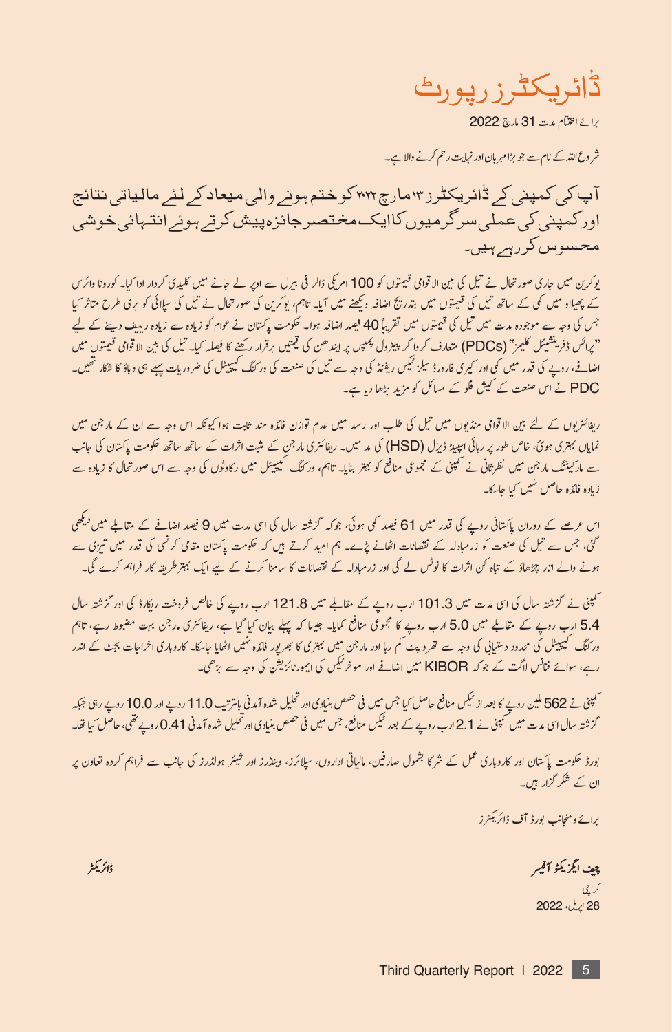ڈائریکٹرز رپورٹ

برائے اختتام مدت 31 مارچ 2022

شر وع الله کے نام سے جو بڑا مہربان اور نہایت رحم کرنے والا ہے۔

آپ کی کمپنی کر ڈائریکٹرز ۱۳مارچ۳۰۲ کوختم ہونے والی میعاد کر لئے مالیاتی نتائج اورکمپنی کی عملی سرگرمیوں کاایک مختصر جائزہپیش کرتے ہوئے انتہائی خوشی محسوس كررسر ہيں۔

پوکرین میں جاری صور تحال نے تیل کی بین الاقوامی قیمتوں کو 100 امریکی ڈالر فی بیرل سے اوپر لے جانے میں کلیدی کردار ادا کیا۔ کورونا وائرس کے پھیلاو میں کی کے ساتھ تیل کی قیمتوں میں بندریج اضافہ دیکھنے میں آیا۔ تاہم، یوکرین کی صورتحال نے تیل کی سائی کو بری طرح متاثر کیا جس کی وجہ سے موجودہ مدت میں تیل کی قیمتوں میں تقریباً 40 فیصد اضافہ ہوا۔ حکومت پاکتان نے عوام کو زیادہ سے زیادہ ریلیف دینے کے لیے "پرائس ڈفرینشیئل کلیمز" (PDCs) متعارف کردا کر پیڑول پمپس پر ایندھن کی قیمتیں برقرار رکھنے کا فیصلہ کیا۔ تیل کی بین الاقوامی قیمتوں میں اضافے، روپے کی قدر میں کی اور کیری فارورڈ سیلز ٹیکس ریفنڈ کی وجہ سے تیل کی صنعت کی ورکنگ کیپیٹل کی ضروریات پہلے ہی دباؤ کا شکار تھیں۔ PDC نے اس صنعت کے کیش فلو کے مسائل کو مزید بڑھا دیا ہے۔

ریفائنریوں کے لئے بین الاقوامی منڈیوں میں تیل کی طلب اور رسد میں عدم قوازن فائدہ مند ثابت ہوا کیونکہ اس وجہ سے ان کے مار جن میں نمایاں بہتری ہوئ، خاص طور پر رہائی ایپیڈ ڈیزل (HSD) کی مد میں۔ ریفائنری مارجن کے مثبت اثرات کے ساتھ ساتھ حکومت پاکتان کی جانب سے مارکیننگ مار جن میں نظر ثانی نے محمینی کے مجموعی منافع کو بہتر بنایا۔ تاہم، ورکنگ کیپیٹل میں رکاوٹوں کی وجہ سے اس صور تحال کا زیادہ سے زیادہ فائدہ حاصل نہیں کیا جائےگ

اس عرصے کے دوران پاکستانی روپے کی قدر میں 61 فیصد کی ہوئی، جوکہ گزشتہ سال کی اس مدت میں 9 فیصد اضافے کے مقابلے میں <sup>دیکھی</sup> گئی، جس سے تیل کی صنعت کو زرمبادلہ کے نقصانات اٹھانے پڑے۔ ہم امید کرتے ہیں کہ حکومت پاکستان مقامی کرنسی کی قدر میں تیزی سے ہونے والے انار چڑھاؤ کے تباہ کن اثرات کا نوٹس لے گی اور زرمبادلہ کے نقصانات کا سامنا کرنے کے لیے ایک بہتر طریقہ کار فراہم کرے گی۔

تھینی نے گزشتہ سال کی ای مدت میں 101.3 ارب روپے کے مقابلے میں 121.8 ارب روپے کی خالص فروخت ریکارڈ کی اور گزشتہ سال 5.4 ارب روپے کے مقابلے میں 5.0 ارب روپے کا مجموعی منافع کمایا۔ جیسا کہ پہلے بیان کیا گیا ہے، ریفائنری مارجن بہت مضبوط رہے، تاہم ور کنگ کیپیٹل کی محدود دستیابی کی وجہ سے تھروپٹ کم رہا اور مار جن میں بہتری کا بھر پور فائدہ نہیں اٹھایا جائے کارہ مار انراجات بجٹ کے اندر<br>رہے، سوائے فنانس لاگت کے جوکہ KIBOR میں اضافے اور موخر ٹیکس کی ایمورٹائزیشن کی وجہ

سمپنی نے 562 ملین روپے کا بعد از ٹیکن منافع حاصل کیا جس میں فی حصص بنیادی اور تحلیل شدہ آمدنی بالترتیب 11.0 روپے اور 10.0 روپے رہی جبکہ گزشتہ سال اسی مدت میں کھمپنی نے 2.1 ارب روپے کے بعد ٹیکس منافع، جس میں فی حصص بنیادی اور تحلیل شدہ آمدنی 41.0 روپے تھی، حاصل کیا تھا۔

بورڈ حکومت پاکستان اور کاروہاری عمل کے شرکا بشول صار فین، مالیاتی اداروں، سپلائرز، وینڈرز اور شیئر ہولڈرز کی جانب سے فراہم کردہ تعادن پر ان کے شکر گزار ہیں۔

برائے ومنجانب بورڈ آف ڈائریکٹرز

چيف ايگزيکوُ آفيبر

گراچی 28 إيرل، 2022

ڈائریکٹر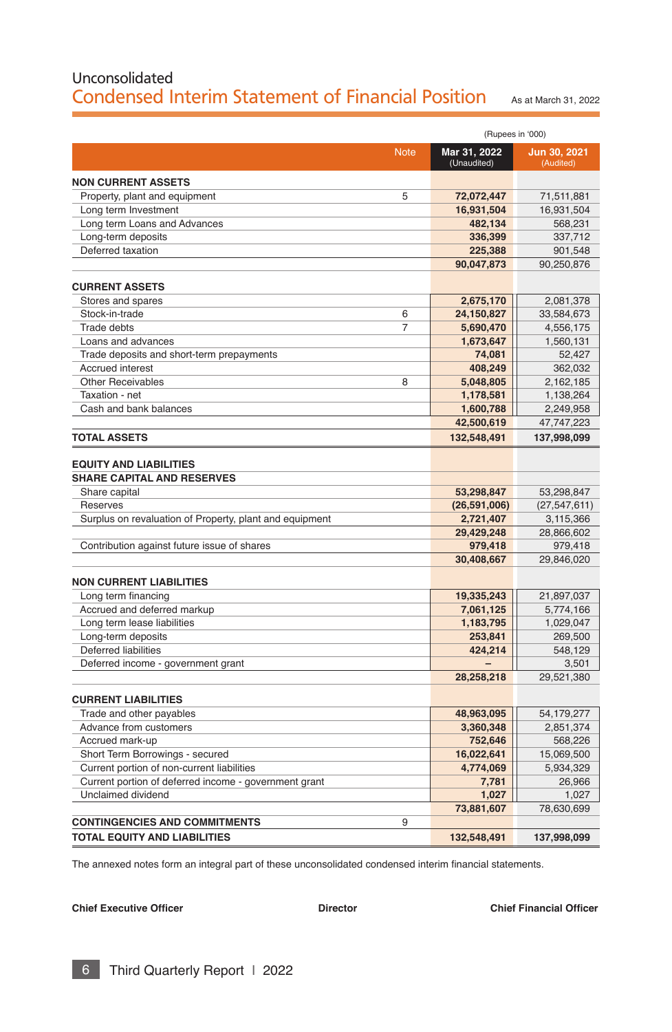# Unconsolidated Condensed Interim Statement of Financial Position As at March 31, 2022

|                                                                | (Rupees in '000)            |                              |  |
|----------------------------------------------------------------|-----------------------------|------------------------------|--|
| <b>Note</b>                                                    | Mar 31, 2022<br>(Unaudited) | Jun 30, 2021<br>(Audited)    |  |
| <b>NON CURRENT ASSETS</b>                                      |                             |                              |  |
| Property, plant and equipment<br>5                             | 72,072,447                  | 71,511,881                   |  |
| Long term Investment                                           | 16,931,504                  | 16,931,504                   |  |
| Long term Loans and Advances                                   | 482,134                     | 568,231                      |  |
| Long-term deposits                                             | 336,399                     | 337,712                      |  |
| Deferred taxation                                              | 225,388                     | 901,548                      |  |
|                                                                | 90,047,873                  | 90,250,876                   |  |
| <b>CURRENT ASSETS</b>                                          |                             |                              |  |
| Stores and spares                                              | 2,675,170                   | 2,081,378                    |  |
| Stock-in-trade<br>6                                            | 24,150,827                  | 33,584,673                   |  |
| <b>Trade debts</b><br>$\overline{7}$                           | 5,690,470                   | 4,556,175                    |  |
| Loans and advances                                             | 1,673,647                   | 1,560,131                    |  |
| Trade deposits and short-term prepayments                      | 74,081                      | 52,427                       |  |
| <b>Accrued interest</b>                                        | 408,249                     | 362,032                      |  |
| <b>Other Receivables</b><br>8                                  | 5,048,805                   | 2,162,185                    |  |
| Taxation - net                                                 | 1,178,581                   | 1,138,264                    |  |
| Cash and bank balances                                         | 1,600,788                   | 2,249,958                    |  |
|                                                                | 42,500,619                  | 47,747,223                   |  |
| <b>TOTAL ASSETS</b>                                            | 132,548,491                 | 137,998,099                  |  |
| <b>SHARE CAPITAL AND RESERVES</b><br>Share capital<br>Reserves | 53,298,847<br>(26,591,006)  | 53,298,847<br>(27, 547, 611) |  |
| Surplus on revaluation of Property, plant and equipment        | 2,721,407                   | 3,115,366                    |  |
|                                                                | 29,429,248                  | 28,866,602                   |  |
| Contribution against future issue of shares                    | 979,418                     | 979,418                      |  |
|                                                                | 30,408,667                  | 29,846,020                   |  |
|                                                                |                             |                              |  |
| <b>NON CURRENT LIABILITIES</b><br>Long term financing          | 19,335,243                  | 21,897,037                   |  |
| Accrued and deferred markup                                    | 7,061,125                   | 5,774,166                    |  |
| Long term lease liabilities                                    | 1,183,795                   | 1,029,047                    |  |
| Long-term deposits                                             | 253,841                     | 269,500                      |  |
| Deferred liabilities                                           | 424,214                     | 548,129                      |  |
| Deferred income - government grant                             |                             | 3,501                        |  |
|                                                                | 28,258,218                  | 29,521,380                   |  |
| <b>CURRENT LIABILITIES</b>                                     |                             |                              |  |
| Trade and other payables                                       | 48,963,095                  | 54,179,277                   |  |
| Advance from customers                                         | 3,360,348                   | 2,851,374                    |  |
| Accrued mark-up                                                | 752,646                     | 568,226                      |  |
| Short Term Borrowings - secured                                | 16,022,641                  | 15,069,500                   |  |
| Current portion of non-current liabilities                     | 4,774,069                   | 5,934,329                    |  |
| Current portion of deferred income - government grant          | 7,781                       | 26,966                       |  |
| Unclaimed dividend                                             | 1,027                       | 1.027                        |  |
|                                                                | 73,881,607                  | 78,630,699                   |  |
| 9<br><b>CONTINGENCIES AND COMMITMENTS</b>                      |                             |                              |  |
| TOTAL EQUITY AND LIABILITIES                                   | 132,548,491                 | 137,998,099                  |  |

The annexed notes form an integral part of these unconsolidated condensed interim financial statements.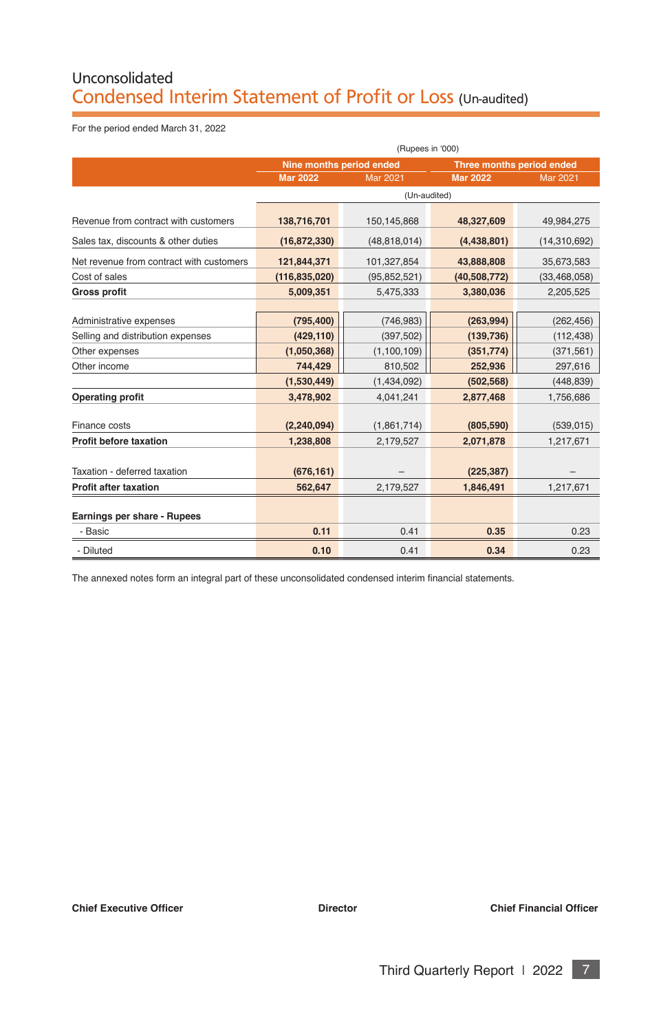# Unconsolidated Condensed Interim Statement of Profit or Loss (Un-audited)

For the period ended March 31, 2022

|                                          | (Rupees in '000)         |                 |                           |                 |
|------------------------------------------|--------------------------|-----------------|---------------------------|-----------------|
|                                          | Nine months period ended |                 | Three months period ended |                 |
|                                          | <b>Mar 2022</b>          | <b>Mar 2021</b> | <b>Mar 2022</b>           | <b>Mar 2021</b> |
|                                          |                          | (Un-audited)    |                           |                 |
| Revenue from contract with customers     | 138,716,701              | 150,145,868     | 48,327,609                | 49,984,275      |
| Sales tax, discounts & other duties      | (16, 872, 330)           | (48, 818, 014)  | (4,438,801)               | (14,310,692)    |
| Net revenue from contract with customers | 121,844,371              | 101,327,854     | 43,888,808                | 35,673,583      |
| Cost of sales                            | (116, 835, 020)          | (95, 852, 521)  | (40, 508, 772)            | (33, 468, 058)  |
| <b>Gross profit</b>                      | 5,009,351                | 5,475,333       | 3,380,036                 | 2,205,525       |
|                                          |                          |                 |                           |                 |
| Administrative expenses                  | (795, 400)               | (746, 983)      | (263,994)                 | (262, 456)      |
| Selling and distribution expenses        | (429, 110)               | (397, 502)      | (139, 736)                | (112, 438)      |
| Other expenses                           | (1,050,368)              | (1, 100, 109)   | (351, 774)                | (371, 561)      |
| Other income                             | 744,429                  | 810,502         | 252,936                   | 297,616         |
|                                          | (1,530,449)              | (1,434,092)     | (502, 568)                | (448, 839)      |
| <b>Operating profit</b>                  | 3,478,902                | 4,041,241       | 2,877,468                 | 1,756,686       |
| Finance costs                            | (2, 240, 094)            | (1,861,714)     | (805, 590)                | (539, 015)      |
| <b>Profit before taxation</b>            | 1,238,808                | 2,179,527       | 2,071,878                 | 1,217,671       |
| Taxation - deferred taxation             | (676, 161)               |                 | (225, 387)                |                 |
| Profit after taxation                    | 562,647                  | 2,179,527       | 1,846,491                 | 1,217,671       |
| Earnings per share - Rupees              |                          |                 |                           |                 |
| - Basic                                  | 0.11                     | 0.41            | 0.35                      | 0.23            |
| - Diluted                                | 0.10                     | 0.41            | 0.34                      | 0.23            |

The annexed notes form an integral part of these unconsolidated condensed interim fnancial statements.

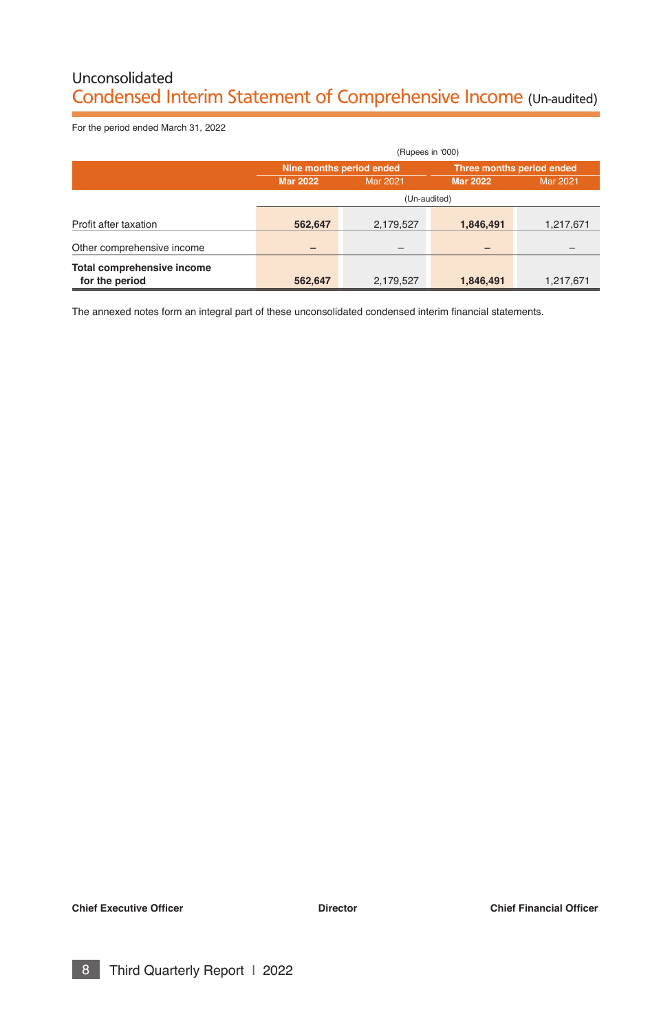# Unconsolidated Condensed Interim Statement of Comprehensive Income (Un-audited)

For the period ended March 31, 2022

|                            | (Rupees in '000)         |                 |                           |                 |  |  |
|----------------------------|--------------------------|-----------------|---------------------------|-----------------|--|--|
|                            | Nine months period ended |                 | Three months period ended |                 |  |  |
|                            | <b>Mar 2022</b>          | <b>Mar 2021</b> | <b>Mar 2022</b>           | <b>Mar 2021</b> |  |  |
|                            |                          | (Un-audited)    |                           |                 |  |  |
| Profit after taxation      | 562,647                  | 2,179,527       | 1,846,491                 | 1,217,671       |  |  |
| Other comprehensive income |                          | -               |                           |                 |  |  |
| Total comprehensive income |                          |                 |                           |                 |  |  |
| for the period             | 562,647                  | 2,179,527       | 1,846,491                 | 1,217,671       |  |  |

The annexed notes form an integral part of these unconsolidated condensed interim financial statements.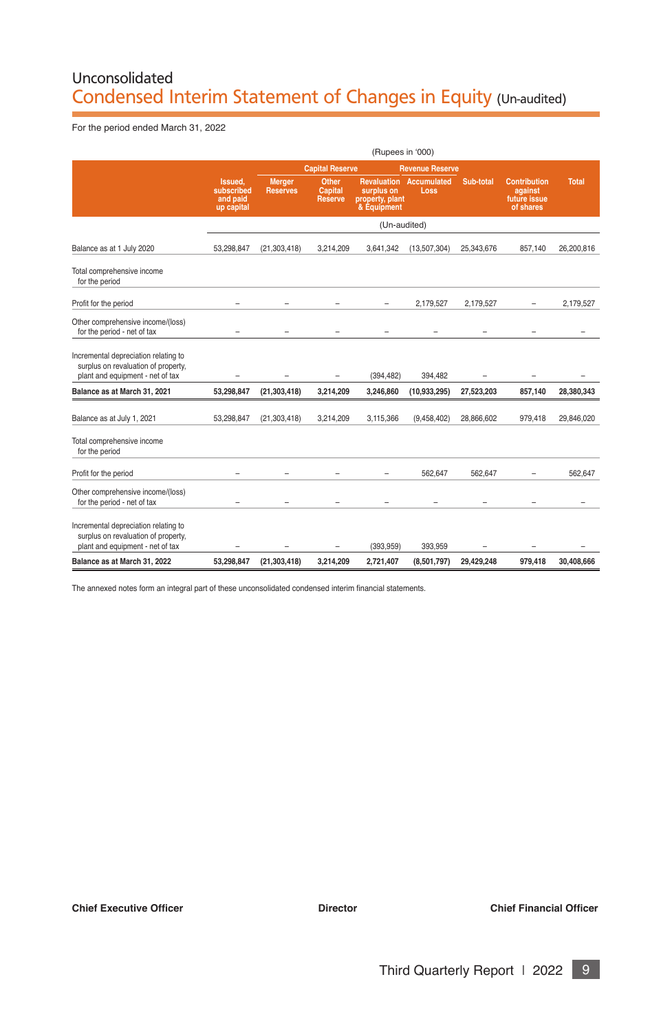# Unconsolidated Condensed Interim Statement of Changes in Equity (Un-audited)

For the period ended March 31, 2022

|                                                                                                                 |                                                 |                           |                                           | (Rupees in '000)                             |                                               |            |                                                             |              |
|-----------------------------------------------------------------------------------------------------------------|-------------------------------------------------|---------------------------|-------------------------------------------|----------------------------------------------|-----------------------------------------------|------------|-------------------------------------------------------------|--------------|
|                                                                                                                 |                                                 |                           | <b>Capital Reserve</b>                    |                                              | <b>Revenue Reserve</b>                        |            |                                                             |              |
|                                                                                                                 | Issued.<br>subscribed<br>and paid<br>up capital | Merger<br><b>Reserves</b> | Other<br><b>Capital</b><br><b>Reserve</b> | surplus on<br>property, plant<br>& Equipment | <b>Revaluation Accumulated</b><br><b>Loss</b> | Sub-total  | <b>Contribution</b><br>against<br>future issue<br>of shares | <b>Total</b> |
|                                                                                                                 |                                                 |                           |                                           | (Un-audited)                                 |                                               |            |                                                             |              |
| Balance as at 1 July 2020                                                                                       | 53.298.847                                      | (21, 303, 418)            | 3,214,209                                 | 3,641,342                                    | (13,507,304)                                  | 25,343,676 | 857,140                                                     | 26,200,816   |
| Total comprehensive income<br>for the period                                                                    |                                                 |                           |                                           |                                              |                                               |            |                                                             |              |
| Profit for the period                                                                                           |                                                 |                           |                                           |                                              | 2.179.527                                     | 2.179.527  |                                                             | 2.179.527    |
| Other comprehensive income/(loss)<br>for the period - net of tax                                                |                                                 |                           |                                           |                                              |                                               |            |                                                             |              |
| Incremental depreciation relating to<br>surplus on revaluation of property,<br>plant and equipment - net of tax |                                                 |                           | ۳                                         | (394, 482)                                   | 394,482                                       |            |                                                             |              |
| Balance as at March 31, 2021                                                                                    | 53,298,847                                      | (21, 303, 418)            | 3,214,209                                 | 3,246,860                                    | (10, 933, 295)                                | 27,523,203 | 857,140                                                     | 28,380,343   |
| Balance as at July 1, 2021                                                                                      | 53.298.847                                      | (21.303.418)              | 3.214.209                                 | 3.115.366                                    | (9.458.402)                                   | 28.866.602 | 979.418                                                     | 29.846.020   |
| Total comprehensive income<br>for the period                                                                    |                                                 |                           |                                           |                                              |                                               |            |                                                             |              |
| Profit for the period                                                                                           |                                                 |                           |                                           |                                              | 562.647                                       | 562.647    |                                                             | 562.647      |
| Other comprehensive income/(loss)<br>for the period - net of tax                                                |                                                 |                           |                                           |                                              |                                               |            |                                                             |              |
| Incremental depreciation relating to<br>surplus on revaluation of property,<br>plant and equipment - net of tax |                                                 |                           | $\overline{\phantom{0}}$                  | (393.959)                                    | 393.959                                       |            |                                                             |              |
| Balance as at March 31, 2022                                                                                    | 53.298.847                                      | (21.303.418)              | 3.214.209                                 | 2.721.407                                    | (8,501,797)                                   | 29.429.248 | 979.418                                                     | 30.408.666   |

The annexed notes form an integral part of these unconsolidated condensed interim fnancial statements.

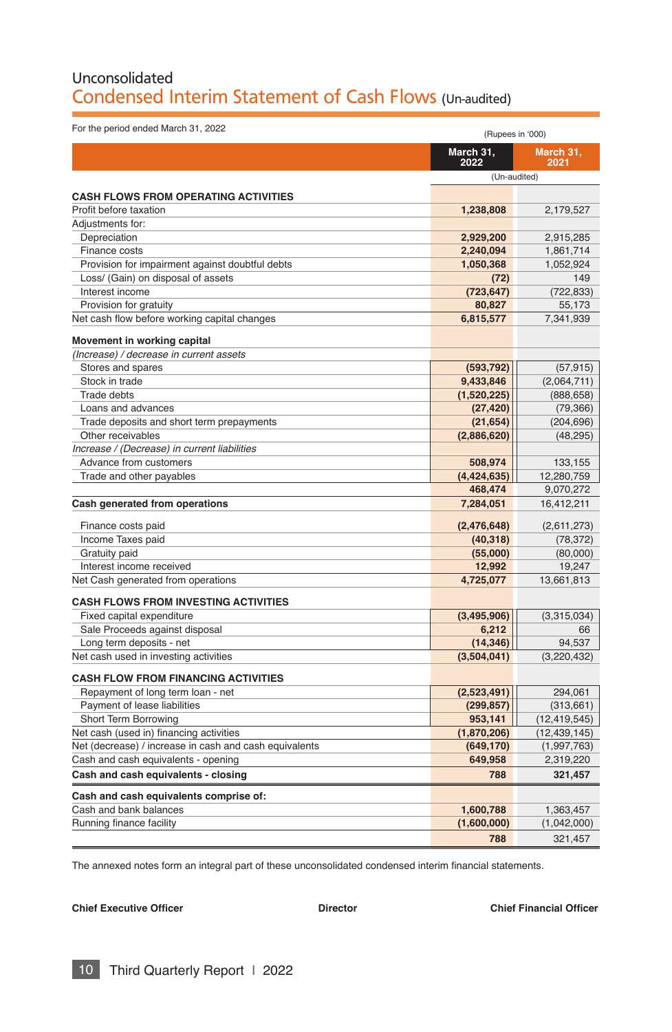# Unconsolidated Condensed Interim Statement of Cash Flows (Un-audited)

| For the period ended March 31, 2022                    | (Rupees in '000)  |                   |
|--------------------------------------------------------|-------------------|-------------------|
|                                                        | March 31,<br>2022 | March 31,<br>2021 |
|                                                        | (Un-audited)      |                   |
| <b>CASH FLOWS FROM OPERATING ACTIVITIES</b>            |                   |                   |
| Profit before taxation                                 | 1.238.808         | 2,179,527         |
| Adjustments for:                                       |                   |                   |
| Depreciation                                           | 2,929,200         | 2,915,285         |
| Finance costs                                          | 2,240,094         | 1,861,714         |
| Provision for impairment against doubtful debts        | 1,050,368         | 1,052,924         |
| Loss/ (Gain) on disposal of assets                     | (72)              | 149               |
| Interest income                                        | (723, 647)        | (722, 833)        |
| Provision for gratuity                                 | 80,827            | 55,173            |
| Net cash flow before working capital changes           | 6,815,577         | 7,341,939         |
|                                                        |                   |                   |
| Movement in working capital                            |                   |                   |
| (Increase) / decrease in current assets                |                   |                   |
| Stores and spares                                      | (593, 792)        | (57, 915)         |
| Stock in trade                                         | 9,433,846         | (2,064,711)       |
| Trade debts                                            | (1,520,225)       | (888, 658)        |
| Loans and advances                                     | (27, 420)         | (79, 366)         |
| Trade deposits and short term prepayments              | (21, 654)         | (204, 696)        |
| Other receivables                                      | (2,886,620)       | (48, 295)         |
| Increase / (Decrease) in current liabilities           |                   |                   |
| Advance from customers                                 | 508.974           | 133,155           |
| Trade and other payables                               | (4, 424, 635)     | 12,280,759        |
|                                                        | 468,474           | 9,070,272         |
| Cash generated from operations                         | 7,284,051         | 16,412,211        |
| Finance costs paid                                     | (2,476,648)       | (2,611,273)       |
| Income Taxes paid                                      | (40, 318)         | (78, 372)         |
| Gratuity paid                                          | (55,000)          | (80,000)          |
| Interest income received                               | 12,992            | 19,247            |
| Net Cash generated from operations                     | 4,725,077         | 13,661,813        |
| <b>CASH FLOWS FROM INVESTING ACTIVITIES</b>            |                   |                   |
| Fixed capital expenditure                              | (3, 495, 906)     | (3,315,034)       |
| Sale Proceeds against disposal                         | 6,212             | 66                |
| Long term deposits - net                               | (14, 346)         | 94,537            |
| Net cash used in investing activities                  | (3,504,041)       | (3, 220, 432)     |
|                                                        |                   |                   |
| <b>CASH FLOW FROM FINANCING ACTIVITIES</b>             |                   |                   |
| Repayment of long term loan - net                      | (2,523,491)       | 294,061           |
| Payment of lease liabilities                           | (299, 857)        | (313, 661)        |
| Short Term Borrowing                                   | 953,141           | (12, 419, 545)    |
| Net cash (used in) financing activities                | (1,870,206)       | (12, 439, 145)    |
| Net (decrease) / increase in cash and cash equivalents | (649, 170)        | (1,997,763)       |
| Cash and cash equivalents - opening                    | 649,958           | 2,319,220         |
| Cash and cash equivalents - closing                    | 788               | 321,457           |
| Cash and cash equivalents comprise of:                 |                   |                   |
| Cash and bank balances                                 | 1,600,788         | 1,363,457         |
| Running finance facility                               | (1,600,000)       | (1,042,000)       |
|                                                        | 788               | 321,457           |
|                                                        |                   |                   |

The annexed notes form an integral part of these unconsolidated condensed interim fnancial statements.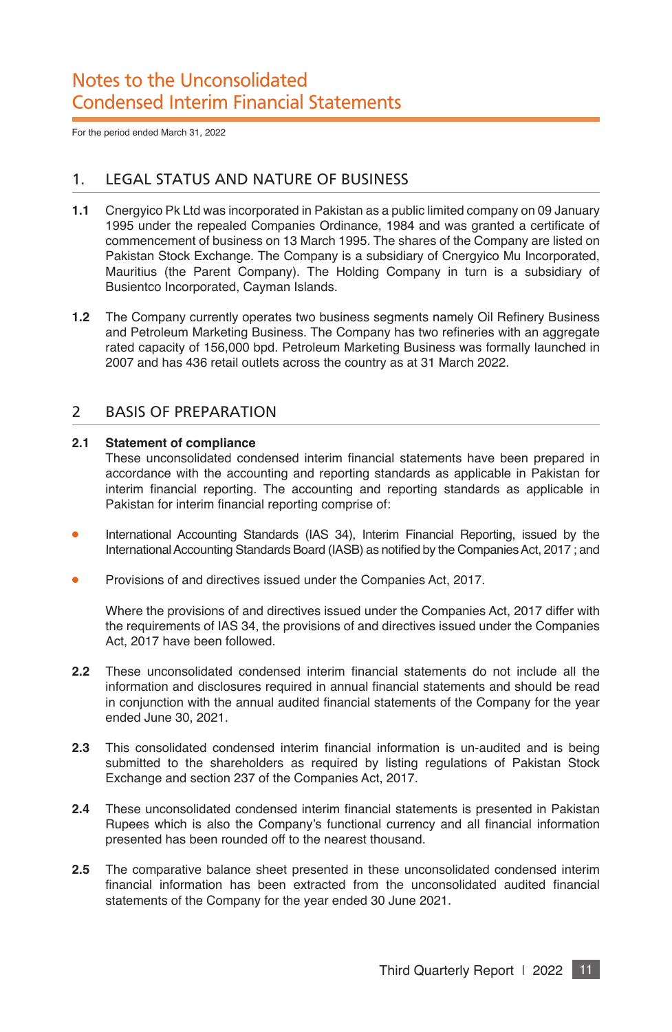For the period ended March 31, 2022

## 1. LEGAL STATUS AND NATURE OF BUSINESS

- **1.1** Cnergyico Pk Ltd was incorporated in Pakistan as a public limited company on 09 January 1995 under the repealed Companies Ordinance, 1984 and was granted a certifcate of commencement of business on 13 March 1995. The shares of the Company are listed on Pakistan Stock Exchange. The Company is a subsidiary of Cnergyico Mu Incorporated, Mauritius (the Parent Company). The Holding Company in turn is a subsidiary of Busientco Incorporated, Cayman Islands.
- **1.2** The Company currently operates two business segments namely Oil Refinery Business and Petroleum Marketing Business. The Company has two refneries with an aggregate rated capacity of 156,000 bpd. Petroleum Marketing Business was formally launched in 2007 and has 436 retail outlets across the country as at 31 March 2022.

#### 2 BASIS OF PREPARATION

#### **2.1 Statement of compliance**

These unconsolidated condensed interim fnancial statements have been prepared in accordance with the accounting and reporting standards as applicable in Pakistan for interim financial reporting. The accounting and reporting standards as applicable in Pakistan for interim financial reporting comprise of:

- International Accounting Standards (IAS 34), Interim Financial Reporting, issued by the International Accounting Standards Board (IASB) as notifed by the Companies Act, 2017 ; and
- Provisions of and directives issued under the Companies Act, 2017.

Where the provisions of and directives issued under the Companies Act, 2017 differ with the requirements of IAS 34, the provisions of and directives issued under the Companies Act, 2017 have been followed.

- **2.2** These unconsolidated condensed interim fnancial statements do not include all the information and disclosures required in annual fnancial statements and should be read in conjunction with the annual audited fnancial statements of the Company for the year ended June 30, 2021.
- **2.3** This consolidated condensed interim fnancial information is un-audited and is being submitted to the shareholders as required by listing regulations of Pakistan Stock Exchange and section 237 of the Companies Act, 2017.
- **2.4** These unconsolidated condensed interim fnancial statements is presented in Pakistan Rupees which is also the Company's functional currency and all financial information presented has been rounded off to the nearest thousand.
- **2.5** The comparative balance sheet presented in these unconsolidated condensed interim financial information has been extracted from the unconsolidated audited financial statements of the Company for the year ended 30 June 2021.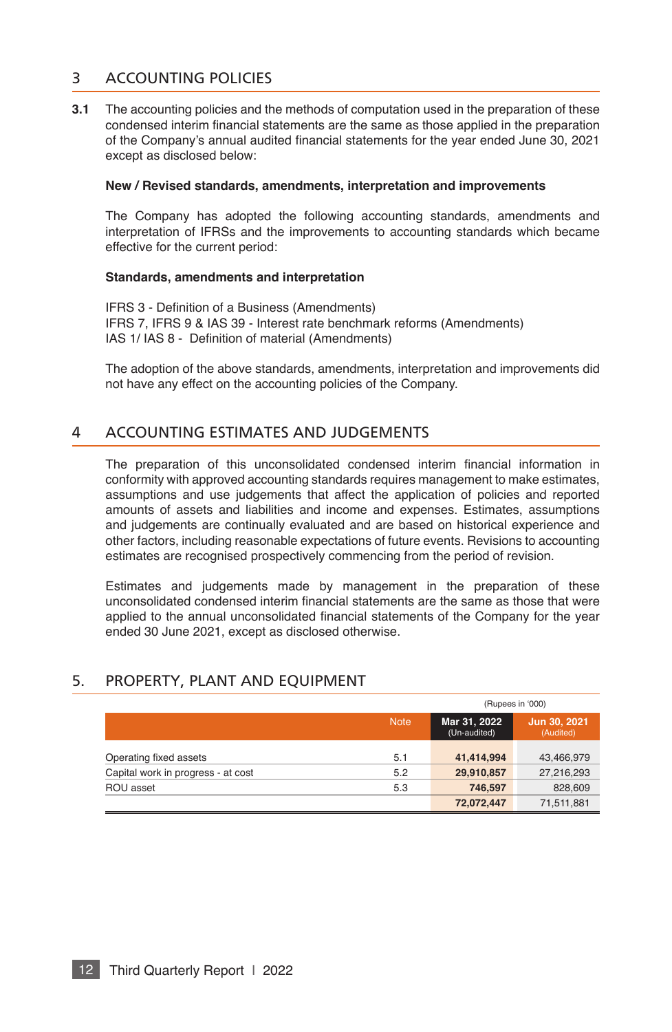## 3 ACCOUNTING POLICIES

**3.1** The accounting policies and the methods of computation used in the preparation of these condensed interim fnancial statements are the same as those applied in the preparation of the Company's annual audited fnancial statements for the year ended June 30, 2021 except as disclosed below:

#### **New / Revised standards, amendments, interpretation and improvements**

The Company has adopted the following accounting standards, amendments and interpretation of IFRSs and the improvements to accounting standards which became effective for the current period:

#### **Standards, amendments and interpretation**

IFRS 3 - Defnition of a Business (Amendments) IFRS 7, IFRS 9 & IAS 39 - Interest rate benchmark reforms (Amendments) IAS 1/ IAS 8 - Defnition of material (Amendments)

The adoption of the above standards, amendments, interpretation and improvements did not have any effect on the accounting policies of the Company.

#### 4 ACCOUNTING ESTIMATES AND JUDGEMENTS

The preparation of this unconsolidated condensed interim fnancial information in conformity with approved accounting standards requires management to make estimates, assumptions and use judgements that affect the application of policies and reported amounts of assets and liabilities and income and expenses. Estimates, assumptions and judgements are continually evaluated and are based on historical experience and other factors, including reasonable expectations of future events. Revisions to accounting estimates are recognised prospectively commencing from the period of revision.

Estimates and judgements made by management in the preparation of these unconsolidated condensed interim fnancial statements are the same as those that were applied to the annual unconsolidated fnancial statements of the Company for the year ended 30 June 2021, except as disclosed otherwise.

## 5. PROPERTY, PLANT AND EQUIPMENT

|                                    |             | (Rupees in '000)             |                           |  |
|------------------------------------|-------------|------------------------------|---------------------------|--|
|                                    | <b>Note</b> | Mar 31, 2022<br>(Un-audited) | Jun 30, 2021<br>(Audited) |  |
| Operating fixed assets             | 5.1         | 41.414.994                   | 43,466,979                |  |
| Capital work in progress - at cost | 5.2         | 29,910,857                   | 27,216,293                |  |
| ROU asset                          | 5.3         | 746.597                      | 828,609                   |  |
|                                    |             | 72,072,447                   | 71,511,881                |  |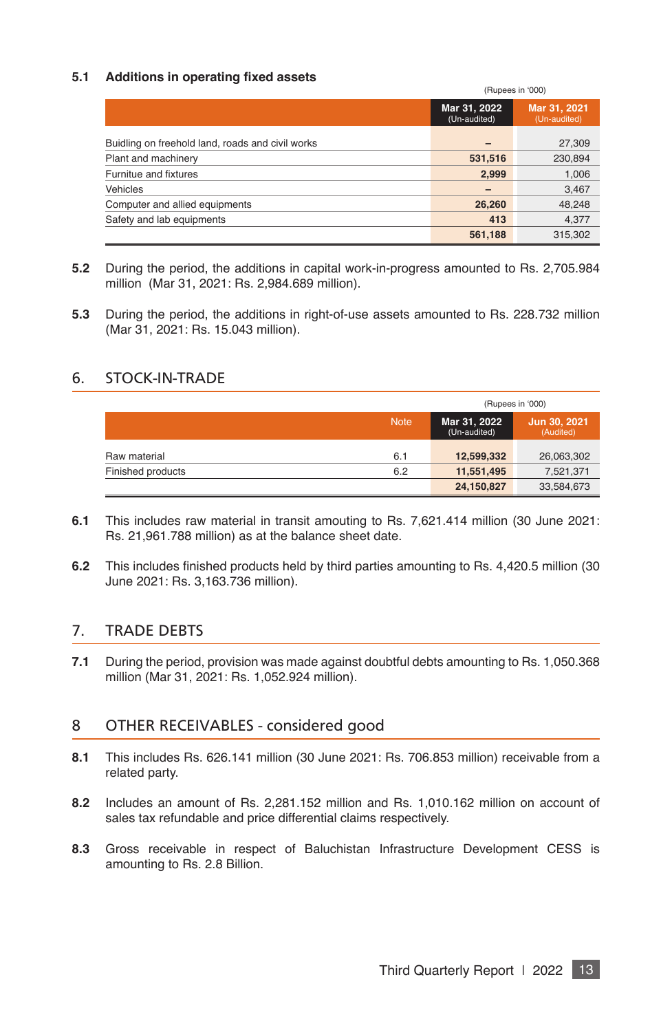#### **5.1 Additions in operating fxed assets**

|                                                  |                              | (Rupees in '000)             |
|--------------------------------------------------|------------------------------|------------------------------|
|                                                  | Mar 31, 2022<br>(Un-audited) | Mar 31, 2021<br>(Un-audited) |
| Buidling on freehold land, roads and civil works | $\overline{\phantom{0}}$     | 27,309                       |
| Plant and machinery                              | 531,516                      | 230,894                      |
| Furnitue and fixtures                            | 2,999                        | 1,006                        |
| <b>Vehicles</b>                                  | $\overline{\phantom{0}}$     | 3,467                        |
| Computer and allied equipments                   | 26,260                       | 48,248                       |
| Safety and lab equipments                        | 413                          | 4,377                        |
|                                                  | 561,188                      | 315,302                      |

- **5.2** During the period, the additions in capital work-in-progress amounted to Rs. 2,705.984 million (Mar 31, 2021: Rs. 2,984.689 million).
- **5.3** During the period, the additions in right-of-use assets amounted to Rs. 228.732 million (Mar 31, 2021: Rs. 15.043 million).

#### 6. STOCK-IN-TRADE

|                   |             | (Rupees in '000)             |            |  |  |
|-------------------|-------------|------------------------------|------------|--|--|
|                   | <b>Note</b> | Mar 31, 2022<br>(Un-audited) |            |  |  |
| Raw material      | 6.1         | 12,599,332                   | 26,063,302 |  |  |
| Finished products | 6.2         | 11,551,495                   | 7,521,371  |  |  |
|                   |             | 24,150,827                   | 33,584,673 |  |  |

- **6.1** This includes raw material in transit amouting to Rs. 7,621.414 million (30 June 2021: Rs. 21,961.788 million) as at the balance sheet date.
- **6.2** This includes finished products held by third parties amounting to Rs. 4,420.5 million (30 June 2021: Rs. 3,163.736 million).

## 7. TRADE DEBTS

**7.1** During the period, provision was made against doubtful debts amounting to Rs. 1,050.368 million (Mar 31, 2021: Rs. 1,052.924 million).

#### 8 OTHER RECEIVABLES - considered good

- **8.1** This includes Rs. 626.141 million (30 June 2021: Rs. 706.853 million) receivable from a related party.
- **8.2** Includes an amount of Rs. 2,281.152 million and Rs. 1,010.162 million on account of sales tax refundable and price differential claims respectively.
- **8.3** Gross receivable in respect of Baluchistan Infrastructure Development CESS is amounting to Rs. 2.8 Billion.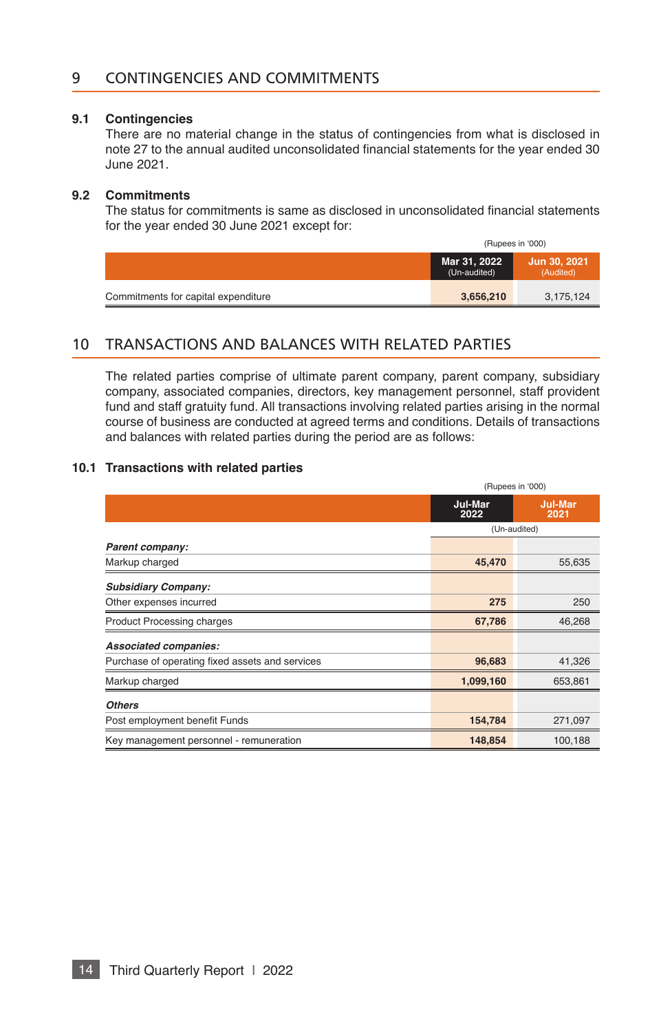#### 9 CONTINGENCIES AND COMMITMENTS

#### **9.1 Contingencies**

There are no material change in the status of contingencies from what is disclosed in note 27 to the annual audited unconsolidated fnancial statements for the year ended 30 June 2021.

#### **9.2 Commitments**

The status for commitments is same as disclosed in unconsolidated fnancial statements for the year ended 30 June 2021 except for:

|                                     | (Rupees in '000)             |                           |  |
|-------------------------------------|------------------------------|---------------------------|--|
|                                     | Mar 31, 2022<br>(Un-audited) | Jun 30, 2021<br>(Audited) |  |
| Commitments for capital expenditure | 3,656,210                    | 3,175,124                 |  |

#### 10 TRANSACTIONS AND BALANCES WITH RELATED PARTIES

The related parties comprise of ultimate parent company, parent company, subsidiary company, associated companies, directors, key management personnel, staff provident fund and staff gratuity fund. All transactions involving related parties arising in the normal course of business are conducted at agreed terms and conditions. Details of transactions and balances with related parties during the period are as follows:

#### **10.1 Transactions with related parties**

|                                                 | (Rupees in '000) |                        |  |
|-------------------------------------------------|------------------|------------------------|--|
|                                                 | Jul-Mar<br>2022  | <b>Jul-Mar</b><br>2021 |  |
|                                                 |                  | (Un-audited)           |  |
| Parent company:                                 |                  |                        |  |
| Markup charged                                  | 45,470           | 55,635                 |  |
| <b>Subsidiary Company:</b>                      |                  |                        |  |
| Other expenses incurred                         | 275              | 250                    |  |
| <b>Product Processing charges</b>               | 67,786           | 46,268                 |  |
| Associated companies:                           |                  |                        |  |
| Purchase of operating fixed assets and services | 96,683           | 41,326                 |  |
| Markup charged                                  | 1,099,160        | 653,861                |  |
| <b>Others</b>                                   |                  |                        |  |
| Post employment benefit Funds                   | 154,784          | 271,097                |  |
| Key management personnel - remuneration         | 148,854          | 100,188                |  |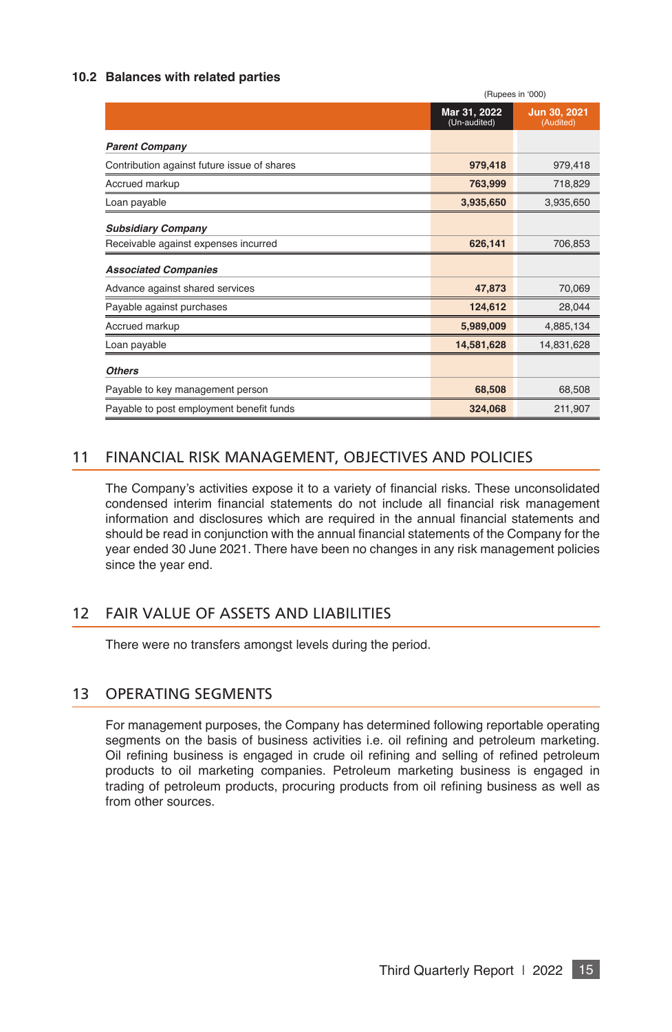#### **10.2 Balances with related parties**

|                                             | (Rupees in '000)             |                           |  |
|---------------------------------------------|------------------------------|---------------------------|--|
|                                             | Mar 31, 2022<br>(Un-audited) | Jun 30, 2021<br>(Audited) |  |
| <b>Parent Company</b>                       |                              |                           |  |
| Contribution against future issue of shares | 979,418                      | 979,418                   |  |
| Accrued markup                              | 763,999                      | 718,829                   |  |
| Loan payable                                | 3,935,650                    | 3,935,650                 |  |
| <b>Subsidiary Company</b>                   |                              |                           |  |
| Receivable against expenses incurred        | 626,141                      | 706,853                   |  |
| <b>Associated Companies</b>                 |                              |                           |  |
| Advance against shared services             | 47,873                       | 70,069                    |  |
| Payable against purchases                   | 124,612                      | 28,044                    |  |
| Accrued markup                              | 5,989,009                    | 4,885,134                 |  |
| Loan payable                                | 14,581,628                   | 14,831,628                |  |
| <b>Others</b>                               |                              |                           |  |
| Payable to key management person            | 68,508                       | 68,508                    |  |
| Payable to post employment benefit funds    | 324,068                      | 211,907                   |  |

## 11 FINANCIAL RISK MANAGEMENT, OBJECTIVES AND POLICIES

The Company's activities expose it to a variety of fnancial risks. These unconsolidated condensed interim fnancial statements do not include all fnancial risk management information and disclosures which are required in the annual financial statements and should be read in conjunction with the annual financial statements of the Company for the year ended 30 June 2021. There have been no changes in any risk management policies since the year end.

## 12 FAIR VALUE OF ASSETS AND LIABILITIES

There were no transfers amongst levels during the period.

## 13 OPERATING SEGMENTS

For management purposes, the Company has determined following reportable operating segments on the basis of business activities i.e. oil refning and petroleum marketing. Oil refning business is engaged in crude oil refning and selling of refned petroleum products to oil marketing companies. Petroleum marketing business is engaged in trading of petroleum products, procuring products from oil refning business as well as from other sources.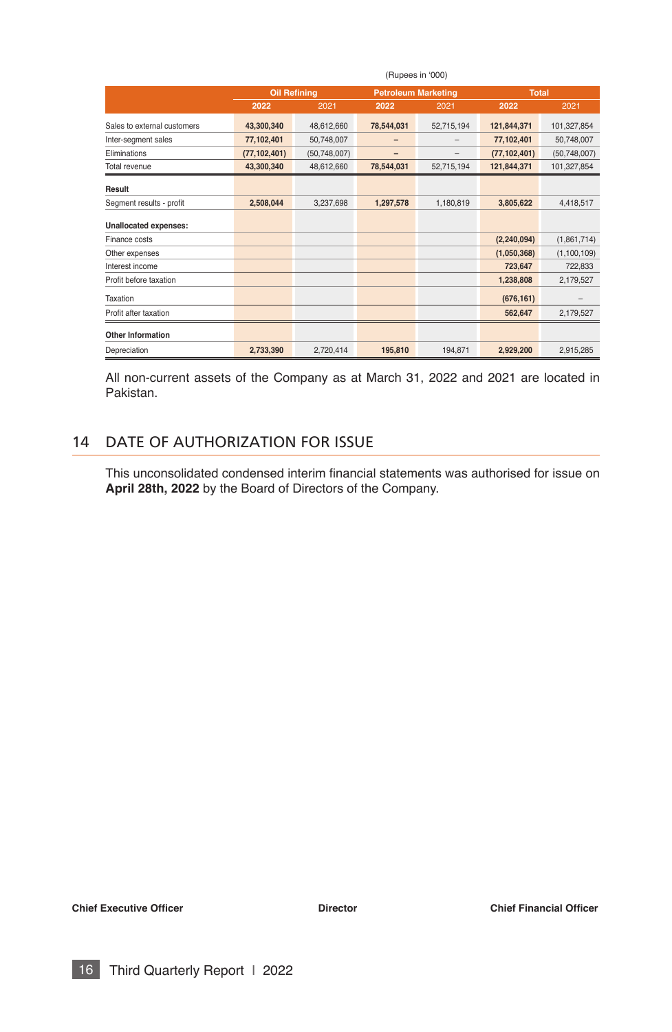|                              | (Rupees in '000)    |                |                            |            |                |               |  |
|------------------------------|---------------------|----------------|----------------------------|------------|----------------|---------------|--|
|                              | <b>Oil Refining</b> |                | <b>Petroleum Marketing</b> |            | <b>Total</b>   |               |  |
|                              | 2022                | 2021           | 2022                       | 2021       | 2022           | 2021          |  |
| Sales to external customers  | 43,300,340          | 48,612,660     | 78,544,031                 | 52,715,194 | 121,844,371    | 101,327,854   |  |
| Inter-segment sales          | 77,102,401          | 50,748,007     |                            | -          | 77,102,401     | 50,748,007    |  |
| Eliminations                 | (77, 102, 401)      | (50, 748, 007) |                            | -          | (77, 102, 401) | (50,748,007)  |  |
| Total revenue                | 43,300,340          | 48,612,660     | 78,544,031                 | 52,715,194 | 121,844,371    | 101,327,854   |  |
| Result                       |                     |                |                            |            |                |               |  |
| Segment results - profit     | 2,508,044           | 3,237,698      | 1,297,578                  | 1,180,819  | 3,805,622      | 4,418,517     |  |
| <b>Unallocated expenses:</b> |                     |                |                            |            |                |               |  |
| Finance costs                |                     |                |                            |            | (2, 240, 094)  | (1,861,714)   |  |
| Other expenses               |                     |                |                            |            | (1,050,368)    | (1, 100, 109) |  |
| Interest income              |                     |                |                            |            | 723,647        | 722,833       |  |
| Profit before taxation       |                     |                |                            |            | 1,238,808      | 2,179,527     |  |
| Taxation                     |                     |                |                            |            | (676, 161)     |               |  |
| Profit after taxation        |                     |                |                            |            | 562,647        | 2,179,527     |  |
| <b>Other Information</b>     |                     |                |                            |            |                |               |  |
| Depreciation                 | 2,733,390           | 2,720,414      | 195,810                    | 194,871    | 2,929,200      | 2,915,285     |  |

All non-current assets of the Company as at March 31, 2022 and 2021 are located in Pakistan.

#### 14 DATE OF AUTHORIZATION FOR ISSUE

This unconsolidated condensed interim fnancial statements was authorised for issue on **April 28th, 2022** by the Board of Directors of the Company.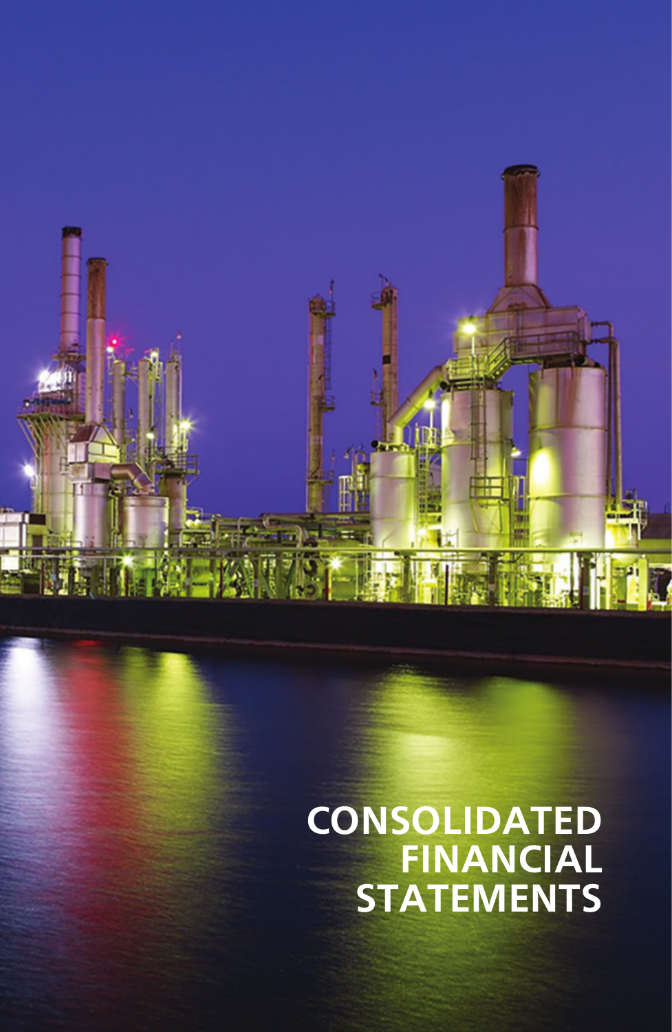**CONSOLIDATED FINANCIAL STATEMENTS**

Third Quarterly Report I 2022 17: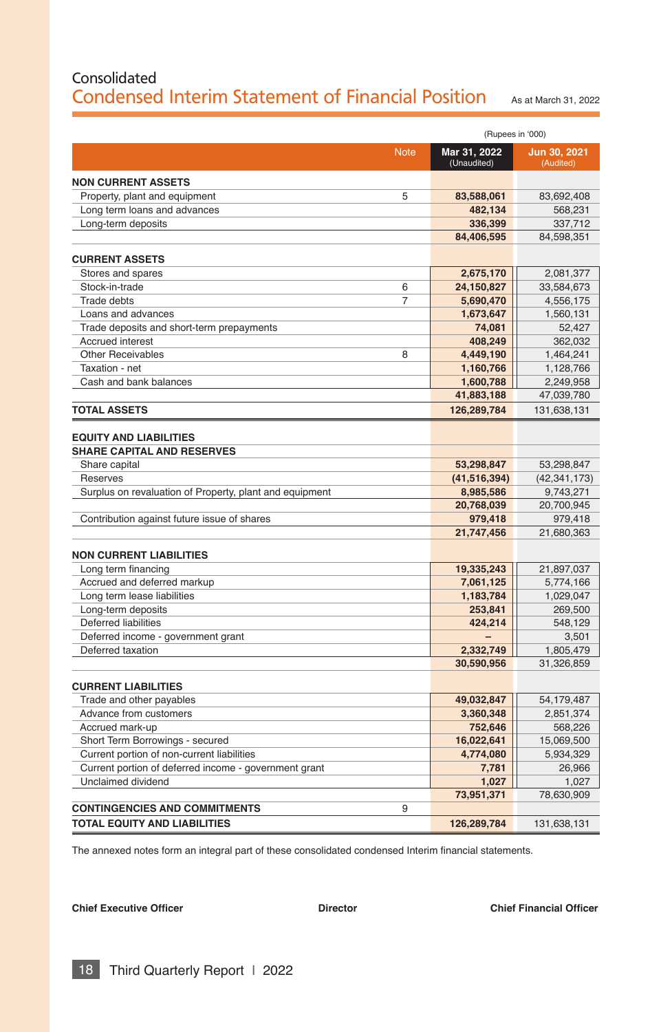# Consolidated Condensed Interim Statement of Financial Position As at March 31, 2022

|                                                                    |                             | (Rupees in '000)          |  |  |
|--------------------------------------------------------------------|-----------------------------|---------------------------|--|--|
| <b>Note</b>                                                        | Mar 31, 2022<br>(Unaudited) | Jun 30, 2021<br>(Audited) |  |  |
| <b>NON CURRENT ASSETS</b>                                          |                             |                           |  |  |
| Property, plant and equipment<br>5                                 | 83,588,061                  | 83,692,408                |  |  |
| Long term loans and advances                                       | 482,134                     | 568,231                   |  |  |
| Long-term deposits                                                 | 336,399                     | 337,712                   |  |  |
|                                                                    | 84,406,595                  | 84,598,351                |  |  |
| <b>CURRENT ASSETS</b>                                              |                             |                           |  |  |
| Stores and spares                                                  | 2,675,170                   | 2,081,377                 |  |  |
| Stock-in-trade<br>6                                                | 24,150,827                  | 33,584,673                |  |  |
| 7<br><b>Trade debts</b>                                            | 5,690,470                   | 4,556,175                 |  |  |
| Loans and advances                                                 | 1,673,647                   | 1,560,131                 |  |  |
| Trade deposits and short-term prepayments                          | 74,081                      | 52,427                    |  |  |
| <b>Accrued interest</b>                                            | 408,249                     | 362,032                   |  |  |
| <b>Other Receivables</b><br>8                                      | 4,449,190                   | 1,464,241                 |  |  |
| Taxation - net                                                     | 1,160,766                   | 1,128,766                 |  |  |
| Cash and bank balances                                             | 1,600,788                   | 2,249,958                 |  |  |
|                                                                    | 41,883,188                  | 47,039,780                |  |  |
| <b>TOTAL ASSETS</b>                                                | 126,289,784                 | 131,638,131               |  |  |
| <b>EQUITY AND LIABILITIES</b><br><b>SHARE CAPITAL AND RESERVES</b> |                             |                           |  |  |
| Share capital                                                      | 53,298,847                  | 53,298,847                |  |  |
| Reserves                                                           | (41, 516, 394)              | (42, 341, 173)            |  |  |
| Surplus on revaluation of Property, plant and equipment            | 8,985,586                   | 9,743,271                 |  |  |
|                                                                    | 20,768,039                  | 20,700,945                |  |  |
| Contribution against future issue of shares                        | 979,418                     | 979,418                   |  |  |
|                                                                    | 21,747,456                  | 21,680,363                |  |  |
| <b>NON CURRENT LIABILITIES</b>                                     |                             |                           |  |  |
| Long term financing                                                | 19,335,243                  | 21,897,037                |  |  |
| Accrued and deferred markup                                        | 7,061,125                   | 5,774,166                 |  |  |
| Long term lease liabilities                                        | 1,183,784                   | 1,029,047                 |  |  |
| Long-term deposits                                                 | 253,841                     | 269,500                   |  |  |
| Deferred liabilities                                               | 424,214                     | 548,129                   |  |  |
| Deferred income - government grant                                 |                             | 3,501                     |  |  |
| Deferred taxation                                                  | 2,332,749                   | 1,805,479                 |  |  |
|                                                                    | 30,590,956                  | 31,326,859                |  |  |
| <b>CURRENT LIABILITIES</b>                                         |                             |                           |  |  |
| Trade and other payables                                           | 49,032,847                  | 54,179,487                |  |  |
| Advance from customers                                             | 3,360,348                   | 2,851,374                 |  |  |
| Accrued mark-up                                                    | 752,646                     | 568,226                   |  |  |
| Short Term Borrowings - secured                                    | 16,022,641                  | 15,069,500                |  |  |
| Current portion of non-current liabilities                         | 4,774,080                   | 5,934,329                 |  |  |
| Current portion of deferred income - government grant              | 7,781                       | 26,966                    |  |  |
| Unclaimed dividend                                                 | 1,027                       | 1,027                     |  |  |
|                                                                    | 73,951,371                  | 78,630,909                |  |  |
| 9<br><b>CONTINGENCIES AND COMMITMENTS</b>                          |                             |                           |  |  |
| TOTAL EQUITY AND LIABILITIES                                       | 126,289,784                 | 131,638,131               |  |  |

The annexed notes form an integral part of these consolidated condensed Interim financial statements.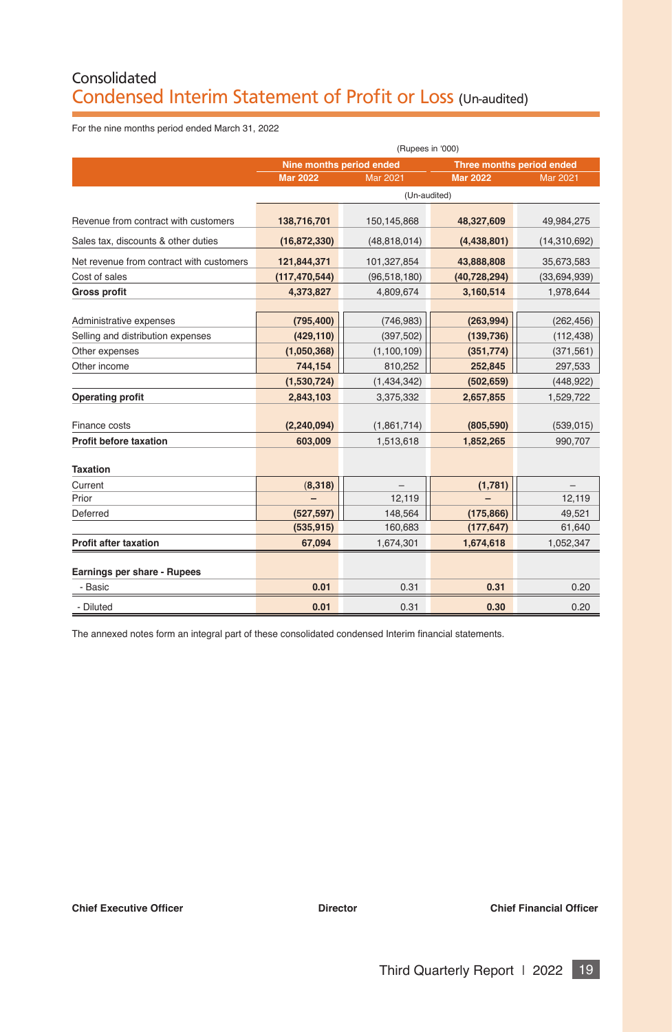# Consolidated Condensed Interim Statement of Profit or Loss (Un-audited)

For the nine months period ended March 31, 2022

|                                          | (Rupees in '000)         |                 |                           |                 |  |
|------------------------------------------|--------------------------|-----------------|---------------------------|-----------------|--|
|                                          | Nine months period ended |                 | Three months period ended |                 |  |
|                                          | <b>Mar 2022</b>          | <b>Mar 2021</b> | <b>Mar 2022</b>           | <b>Mar 2021</b> |  |
|                                          |                          | (Un-audited)    |                           |                 |  |
| Revenue from contract with customers     | 138,716,701              | 150,145,868     | 48,327,609                | 49,984,275      |  |
| Sales tax, discounts & other duties      | (16, 872, 330)           | (48, 818, 014)  | (4,438,801)               | (14,310,692)    |  |
| Net revenue from contract with customers | 121,844,371              | 101,327,854     | 43,888,808                | 35,673,583      |  |
| Cost of sales                            | (117, 470, 544)          | (96, 518, 180)  | (40, 728, 294)            | (33,694,939)    |  |
| <b>Gross profit</b>                      | 4,373,827                | 4,809,674       | 3,160,514                 | 1,978,644       |  |
|                                          |                          |                 |                           |                 |  |
| Administrative expenses                  | (795, 400)               | (746, 983)      | (263,994)                 | (262, 456)      |  |
| Selling and distribution expenses        | (429, 110)               | (397, 502)      | (139, 736)                | (112, 438)      |  |
| Other expenses                           | (1,050,368)              | (1, 100, 109)   | (351, 774)                | (371, 561)      |  |
| Other income                             | 744,154                  | 810,252         | 252,845                   | 297,533         |  |
|                                          | (1,530,724)              | (1,434,342)     | (502, 659)                | (448, 922)      |  |
| Operating profit                         | 2,843,103                | 3,375,332       | 2,657,855                 | 1,529,722       |  |
|                                          |                          |                 |                           |                 |  |
| Finance costs                            | (2, 240, 094)            | (1,861,714)     | (805, 590)                | (539, 015)      |  |
| <b>Profit before taxation</b>            | 603.009                  | 1,513,618       | 1,852,265                 | 990.707         |  |
| <b>Taxation</b>                          |                          |                 |                           |                 |  |
| Current                                  | (8,318)                  |                 | (1,781)                   |                 |  |
| Prior                                    |                          | 12,119          |                           | 12,119          |  |
| Deferred                                 | (527, 597)               | 148.564         | (175, 866)                | 49,521          |  |
|                                          | (535, 915)               | 160,683         | (177, 647)                | 61,640          |  |
| <b>Profit after taxation</b>             | 67,094                   | 1,674,301       | 1,674,618                 | 1,052,347       |  |
| Earnings per share - Rupees              |                          |                 |                           |                 |  |
| - Basic                                  | 0.01                     | 0.31            | 0.31                      | 0.20            |  |
| - Diluted                                | 0.01                     | 0.31            | 0.30                      | 0.20            |  |

The annexed notes form an integral part of these consolidated condensed Interim financial statements.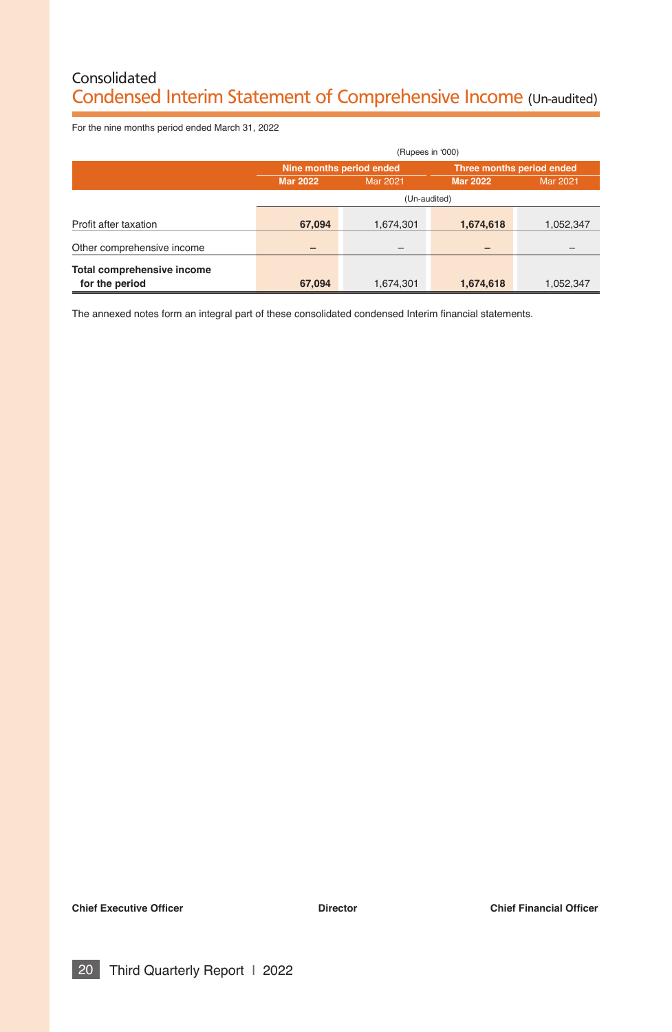# Consolidated Condensed Interim Statement of Comprehensive Income (Un-audited)

For the nine months period ended March 31, 2022

|                            | (Rupees in '000)         |                 |                           |           |  |  |
|----------------------------|--------------------------|-----------------|---------------------------|-----------|--|--|
|                            | Nine months period ended |                 | Three months period ended |           |  |  |
|                            | <b>Mar 2022</b>          | <b>Mar 2021</b> | <b>Mar 2022</b>           | Mar 2021  |  |  |
|                            | (Un-audited)             |                 |                           |           |  |  |
| Profit after taxation      | 67,094                   | 1,674,301       | 1,674,618                 | 1,052,347 |  |  |
| Other comprehensive income | -                        | -               |                           |           |  |  |
| Total comprehensive income |                          |                 |                           |           |  |  |
| for the period             | 67.094                   | 1,674,301       | 1,674,618                 | 1,052,347 |  |  |

The annexed notes form an integral part of these consolidated condensed Interim financial statements.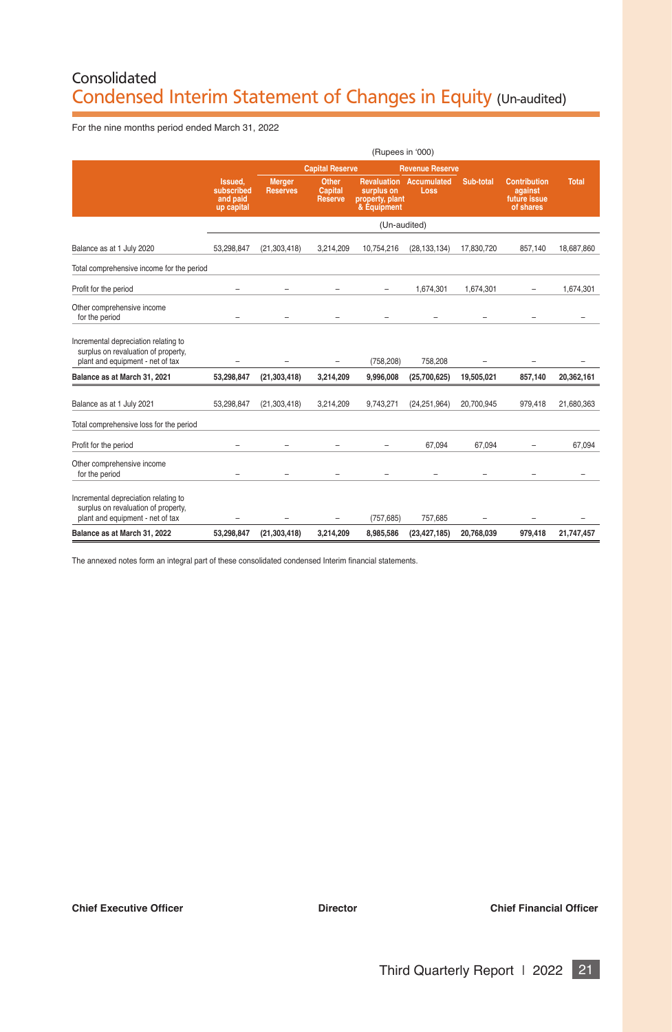# Consolidated Condensed Interim Statement of Changes in Equity (Un-audited)

For the nine months period ended March 31, 2022

|                                                                                                                 | (Rupees in '000)                                |                           |                                    |                                              |                                        |            |                                                             |              |
|-----------------------------------------------------------------------------------------------------------------|-------------------------------------------------|---------------------------|------------------------------------|----------------------------------------------|----------------------------------------|------------|-------------------------------------------------------------|--------------|
|                                                                                                                 |                                                 |                           | <b>Capital Reserve</b>             |                                              | <b>Revenue Reserve</b>                 |            |                                                             |              |
|                                                                                                                 | Issued.<br>subscribed<br>and paid<br>up capital | Merger<br><b>Reserves</b> | Other<br>Capital<br><b>Reserve</b> | surplus on<br>property, plant<br>& Equipment | <b>Revaluation Accumulated</b><br>Loss | Sub-total  | <b>Contribution</b><br>against<br>future issue<br>of shares | <b>Total</b> |
|                                                                                                                 |                                                 |                           |                                    | (Un-audited)                                 |                                        |            |                                                             |              |
| Balance as at 1 July 2020                                                                                       | 53.298.847                                      | (21, 303, 418)            | 3,214,209                          | 10.754.216                                   | (28, 133, 134)                         | 17.830.720 | 857,140                                                     | 18,687,860   |
| Total comprehensive income for the period                                                                       |                                                 |                           |                                    |                                              |                                        |            |                                                             |              |
| Profit for the period                                                                                           |                                                 |                           |                                    |                                              | 1.674.301                              | 1.674.301  |                                                             | 1.674.301    |
| Other comprehensive income<br>for the period                                                                    |                                                 |                           |                                    |                                              |                                        |            |                                                             |              |
| Incremental depreciation relating to<br>surplus on revaluation of property,<br>plant and equipment - net of tax |                                                 |                           | ۳                                  | (758.208)                                    | 758.208                                |            |                                                             |              |
| Balance as at March 31, 2021                                                                                    | 53,298,847                                      | (21, 303, 418)            | 3,214,209                          | 9.996.008                                    | (25,700,625)                           | 19,505,021 | 857,140                                                     | 20,362,161   |
| Balance as at 1 July 2021                                                                                       | 53.298.847                                      | (21, 303, 418)            | 3.214.209                          | 9.743.271                                    | (24.251.964)                           | 20.700.945 | 979.418                                                     | 21,680,363   |
| Total comprehensive loss for the period                                                                         |                                                 |                           |                                    |                                              |                                        |            |                                                             |              |
| Profit for the period                                                                                           | ۰                                               |                           |                                    |                                              | 67.094                                 | 67.094     |                                                             | 67,094       |
| Other comprehensive income<br>for the period                                                                    |                                                 |                           |                                    |                                              |                                        |            |                                                             |              |
| Incremental depreciation relating to<br>surplus on revaluation of property,<br>plant and equipment - net of tax |                                                 |                           |                                    | (757.685)                                    | 757.685                                |            |                                                             |              |
| Balance as at March 31, 2022                                                                                    | 53,298,847                                      | (21, 303, 418)            | 3,214,209                          | 8,985,586                                    | (23, 427, 185)                         | 20.768.039 | 979,418                                                     | 21,747,457   |

The annexed notes form an integral part of these consolidated condensed Interim financial statements.

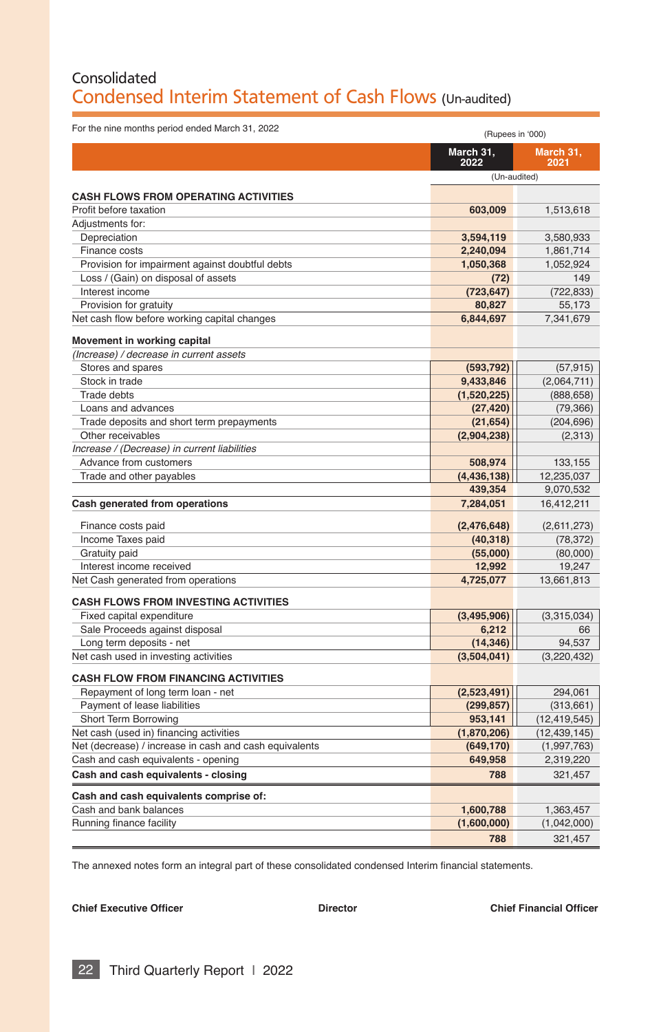## Consolidated Condensed Interim Statement of Cash Flows (Un-audited)

| For the nine months period ended March 31, 2022        | (Rupees in '000)  |                   |
|--------------------------------------------------------|-------------------|-------------------|
|                                                        | March 31,<br>2022 | March 31,<br>2021 |
|                                                        | (Un-audited)      |                   |
| <b>CASH FLOWS FROM OPERATING ACTIVITIES</b>            |                   |                   |
| Profit before taxation                                 | 603.009           | 1,513,618         |
| Adjustments for:                                       |                   |                   |
| Depreciation                                           |                   |                   |
|                                                        | 3,594,119         | 3,580,933         |
| Finance costs                                          | 2,240,094         | 1,861,714         |
| Provision for impairment against doubtful debts        | 1,050,368         | 1,052,924         |
| Loss / (Gain) on disposal of assets                    | (72)              | 149               |
| Interest income                                        | (723, 647)        | (722, 833)        |
| Provision for gratuity                                 | 80,827            | 55,173            |
| Net cash flow before working capital changes           | 6,844,697         | 7,341,679         |
| Movement in working capital                            |                   |                   |
| (Increase) / decrease in current assets                |                   |                   |
| Stores and spares                                      | (593, 792)        | (57, 915)         |
| Stock in trade                                         | 9,433,846         | (2,064,711)       |
| Trade debts                                            | (1,520,225)       | (888, 658)        |
| Loans and advances                                     | (27, 420)         | (79, 366)         |
| Trade deposits and short term prepayments              | (21, 654)         | (204, 696)        |
| Other receivables                                      | (2,904,238)       | (2,313)           |
| Increase / (Decrease) in current liabilities           |                   |                   |
| Advance from customers                                 | 508,974           | 133,155           |
| Trade and other payables                               | (4, 436, 138)     | 12,235,037        |
|                                                        | 439,354           | 9,070,532         |
| Cash generated from operations                         | 7,284,051         | 16,412,211        |
| Finance costs paid                                     | (2,476,648)       | (2,611,273)       |
| Income Taxes paid                                      | (40, 318)         | (78, 372)         |
| Gratuity paid                                          | (55,000)          | (80,000)          |
| Interest income received                               | 12,992            | 19,247            |
| Net Cash generated from operations                     | 4,725,077         | 13,661,813        |
|                                                        |                   |                   |
| <b>CASH FLOWS FROM INVESTING ACTIVITIES</b>            |                   |                   |
| Fixed capital expenditure                              | (3,495,906)       | (3,315,034)       |
| Sale Proceeds against disposal                         | 6,212             | 66                |
| Long term deposits - net                               | (14, 346)         | 94.537            |
| Net cash used in investing activities                  | (3,504,041)       | (3, 220, 432)     |
| <b>CASH FLOW FROM FINANCING ACTIVITIES</b>             |                   |                   |
| Repayment of long term loan - net                      | (2,523,491)       | 294,061           |
| Payment of lease liabilities                           | (299, 857)        | (313, 661)        |
| Short Term Borrowing                                   | 953,141           | (12, 419, 545)    |
| Net cash (used in) financing activities                | (1,870,206)       | (12, 439, 145)    |
| Net (decrease) / increase in cash and cash equivalents | (649, 170)        | (1,997,763)       |
| Cash and cash equivalents - opening                    | 649,958           | 2,319,220         |
| Cash and cash equivalents - closing                    | 788               | 321,457           |
| Cash and cash equivalents comprise of:                 |                   |                   |
| Cash and bank balances                                 | 1,600,788         | 1,363,457         |
| Running finance facility                               | (1,600,000)       | (1,042,000)       |
|                                                        | 788               | 321,457           |

The annexed notes form an integral part of these consolidated condensed Interim financial statements.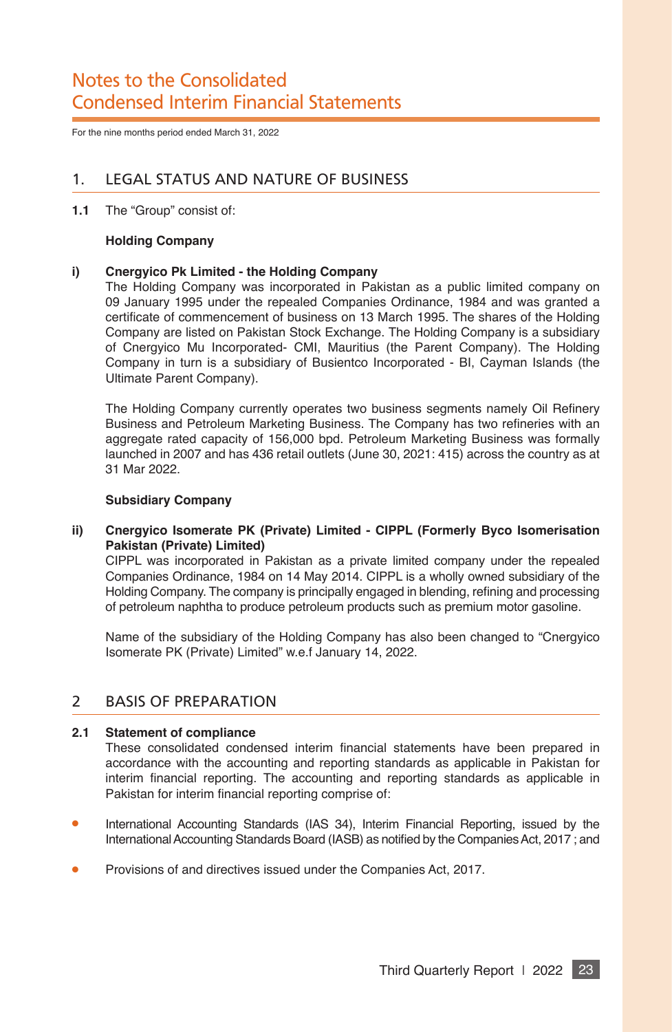# Notes to the Consolidated Condensed Interim Financial Statements

For the nine months period ended March 31, 2022

## 1. LEGAL STATUS AND NATURE OF BUSINESS

**1.1** The "Group" consist of:

#### **Holding Company**

#### **i) Cnergyico Pk Limited - the Holding Company**

The Holding Company was incorporated in Pakistan as a public limited company on 09 January 1995 under the repealed Companies Ordinance, 1984 and was granted a certifcate of commencement of business on 13 March 1995. The shares of the Holding Company are listed on Pakistan Stock Exchange. The Holding Company is a subsidiary of Cnergyico Mu Incorporated- CMI, Mauritius (the Parent Company). The Holding Company in turn is a subsidiary of Busientco Incorporated - BI, Cayman Islands (the Ultimate Parent Company).

The Holding Company currently operates two business segments namely Oil Refnery Business and Petroleum Marketing Business. The Company has two refneries with an aggregate rated capacity of 156,000 bpd. Petroleum Marketing Business was formally launched in 2007 and has 436 retail outlets (June 30, 2021: 415) across the country as at 31 Mar 2022.

#### **Subsidiary Company**

**ii) Cnergyico Isomerate PK (Private) Limited - CIPPL (Formerly Byco Isomerisation Pakistan (Private) Limited)**

CIPPL was incorporated in Pakistan as a private limited company under the repealed Companies Ordinance, 1984 on 14 May 2014. CIPPL is a wholly owned subsidiary of the Holding Company. The company is principally engaged in blending, refning and processing of petroleum naphtha to produce petroleum products such as premium motor gasoline.

Name of the subsidiary of the Holding Company has also been changed to "Cnergyico Isomerate PK (Private) Limited" w.e.f January 14, 2022.

#### 2 BASIS OF PREPARATION

#### **2.1 Statement of compliance**

These consolidated condensed interim fnancial statements have been prepared in accordance with the accounting and reporting standards as applicable in Pakistan for interim fnancial reporting. The accounting and reporting standards as applicable in Pakistan for interim financial reporting comprise of:

- International Accounting Standards (IAS 34), Interim Financial Reporting, issued by the International Accounting Standards Board (IASB) as notifed by the Companies Act, 2017 ; and
- Provisions of and directives issued under the Companies Act, 2017.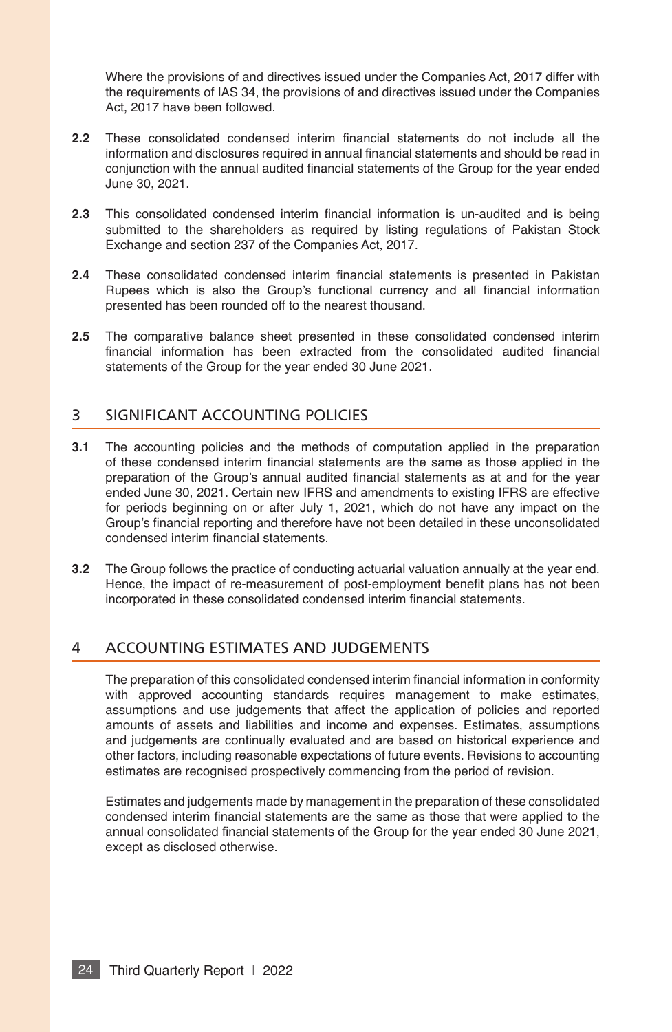Where the provisions of and directives issued under the Companies Act, 2017 differ with the requirements of IAS 34, the provisions of and directives issued under the Companies Act, 2017 have been followed.

- **2.2** These consolidated condensed interim fnancial statements do not include all the information and disclosures required in annual financial statements and should be read in conjunction with the annual audited fnancial statements of the Group for the year ended June 30, 2021.
- **2.3** This consolidated condensed interim fnancial information is un-audited and is being submitted to the shareholders as required by listing regulations of Pakistan Stock Exchange and section 237 of the Companies Act, 2017.
- **2.4** These consolidated condensed interim fnancial statements is presented in Pakistan Rupees which is also the Group's functional currency and all financial information presented has been rounded off to the nearest thousand.
- **2.5** The comparative balance sheet presented in these consolidated condensed interim fnancial information has been extracted from the consolidated audited fnancial statements of the Group for the year ended 30 June 2021.

#### 3 SIGNIFICANT ACCOUNTING POLICIES

- **3.1** The accounting policies and the methods of computation applied in the preparation of these condensed interim fnancial statements are the same as those applied in the preparation of the Group's annual audited fnancial statements as at and for the year ended June 30, 2021. Certain new IFRS and amendments to existing IFRS are effective for periods beginning on or after July 1, 2021, which do not have any impact on the Group's fnancial reporting and therefore have not been detailed in these unconsolidated condensed interim financial statements.
- **3.2** The Group follows the practice of conducting actuarial valuation annually at the year end. Hence, the impact of re-measurement of post-employment beneft plans has not been incorporated in these consolidated condensed interim fnancial statements.

## 4 ACCOUNTING ESTIMATES AND JUDGEMENTS

The preparation of this consolidated condensed interim fnancial information in conformity with approved accounting standards requires management to make estimates, assumptions and use judgements that affect the application of policies and reported amounts of assets and liabilities and income and expenses. Estimates, assumptions and judgements are continually evaluated and are based on historical experience and other factors, including reasonable expectations of future events. Revisions to accounting estimates are recognised prospectively commencing from the period of revision.

Estimates and judgements made by management in the preparation of these consolidated condensed interim fnancial statements are the same as those that were applied to the annual consolidated fnancial statements of the Group for the year ended 30 June 2021, except as disclosed otherwise.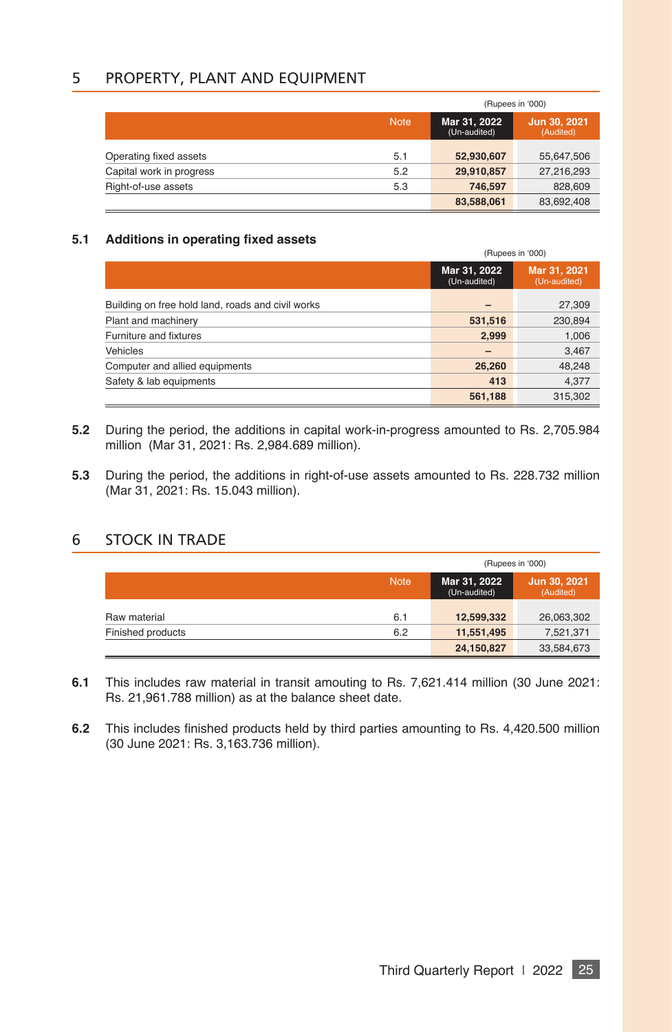## 5 PROPERTY, PLANT AND EQUIPMENT

|                          |             | (Rupees in '000)             |                           |  |
|--------------------------|-------------|------------------------------|---------------------------|--|
|                          | <b>Note</b> | Mar 31, 2022<br>(Un-audited) | Jun 30, 2021<br>(Audited) |  |
| Operating fixed assets   | 5.1         | 52,930,607                   | 55,647,506                |  |
| Capital work in progress | 5.2         | 29,910,857                   | 27,216,293                |  |
| Right-of-use assets      | 5.3         | 746.597                      | 828,609                   |  |
|                          |             | 83,588,061                   | 83,692,408                |  |

#### **5.1 Additions in operating fxed assets**

|                                                   |                              | (Rupees in '000)             |  |  |
|---------------------------------------------------|------------------------------|------------------------------|--|--|
|                                                   | Mar 31, 2022<br>(Un-audited) | Mar 31, 2021<br>(Un-audited) |  |  |
| Building on free hold land, roads and civil works |                              | 27.309                       |  |  |
| Plant and machinery                               | 531,516                      | 230,894                      |  |  |
| Furniture and fixtures                            | 2.999                        | 1,006                        |  |  |
| Vehicles                                          | $\overline{\phantom{0}}$     | 3,467                        |  |  |
| Computer and allied equipments                    | 26,260                       | 48,248                       |  |  |
| Safety & lab equipments                           | 413                          | 4,377                        |  |  |
|                                                   | 561,188                      | 315.302                      |  |  |

- **5.2** During the period, the additions in capital work-in-progress amounted to Rs. 2,705.984 million (Mar 31, 2021: Rs. 2,984.689 million).
- **5.3** During the period, the additions in right-of-use assets amounted to Rs. 228.732 million (Mar 31, 2021: Rs. 15.043 million).

## 6 STOCK IN TRADE

|                   |             | (Rupees in '000)             |                           |  |
|-------------------|-------------|------------------------------|---------------------------|--|
|                   | <b>Note</b> | Mar 31, 2022<br>(Un-audited) | Jun 30, 2021<br>(Audited) |  |
| Raw material      | 6.1         | 12,599,332                   | 26,063,302                |  |
| Finished products | 6.2         | 11,551,495                   | 7,521,371                 |  |
|                   |             | 24,150,827                   | 33,584,673                |  |

- **6.1** This includes raw material in transit amouting to Rs. 7,621.414 million (30 June 2021: Rs. 21,961.788 million) as at the balance sheet date.
- **6.2** This includes finished products held by third parties amounting to Rs. 4,420.500 million (30 June 2021: Rs. 3,163.736 million).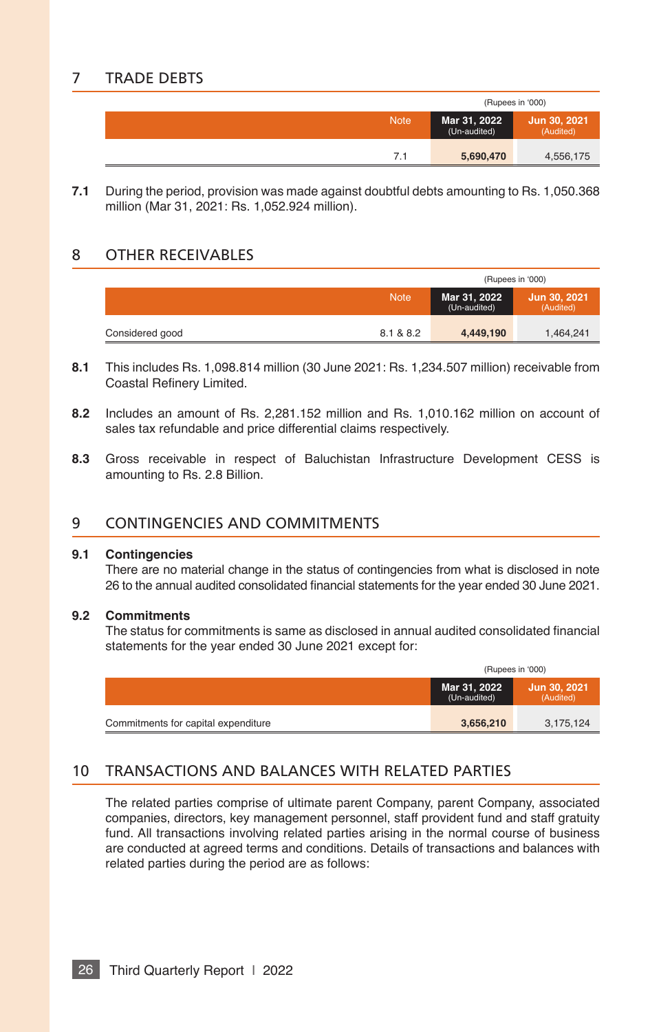## 7 TRADE DEBTS

|             | (Rupees in '000)             |                           |  |
|-------------|------------------------------|---------------------------|--|
| <b>Note</b> | Mar 31, 2022<br>(Un-audited) | Jun 30, 2021<br>(Audited) |  |
|             | 5,690,470                    | 4,556,175                 |  |

**7.1** During the period, provision was made against doubtful debts amounting to Rs. 1,050.368 million (Mar 31, 2021: Rs. 1,052.924 million).

#### 8 OTHER RECEIVABLES

|                 | (Rupees in '000) |                              |                           |  |
|-----------------|------------------|------------------------------|---------------------------|--|
|                 | <b>Note</b>      | Mar 31, 2022<br>(Un-audited) | Jun 30, 2021<br>(Audited) |  |
| Considered good | 8.1 & 8.2        | 4,449,190                    | 1,464,241                 |  |

- **8.1** This includes Rs. 1,098.814 million (30 June 2021: Rs. 1,234.507 million) receivable from Coastal Refnery Limited.
- **8.2** Includes an amount of Rs. 2,281.152 million and Rs. 1,010.162 million on account of sales tax refundable and price differential claims respectively.
- **8.3** Gross receivable in respect of Baluchistan Infrastructure Development CESS is amounting to Rs. 2.8 Billion.

#### 9 CONTINGENCIES AND COMMITMENTS

#### **9.1 Contingencies**

There are no material change in the status of contingencies from what is disclosed in note 26 to the annual audited consolidated fnancial statements for the year ended 30 June 2021.

#### **9.2 Commitments**

The status for commitments is same as disclosed in annual audited consolidated fnancial statements for the year ended 30 June 2021 except for:

|                                     | (Rupees in '000)             |                           |  |
|-------------------------------------|------------------------------|---------------------------|--|
|                                     | Mar 31, 2022<br>(Un-audited) | Jun 30, 2021<br>(Audited) |  |
| Commitments for capital expenditure | 3,656,210                    | 3,175,124                 |  |

## 10 TRANSACTIONS AND BALANCES WITH RELATED PARTIES

The related parties comprise of ultimate parent Company, parent Company, associated companies, directors, key management personnel, staff provident fund and staff gratuity fund. All transactions involving related parties arising in the normal course of business are conducted at agreed terms and conditions. Details of transactions and balances with related parties during the period are as follows: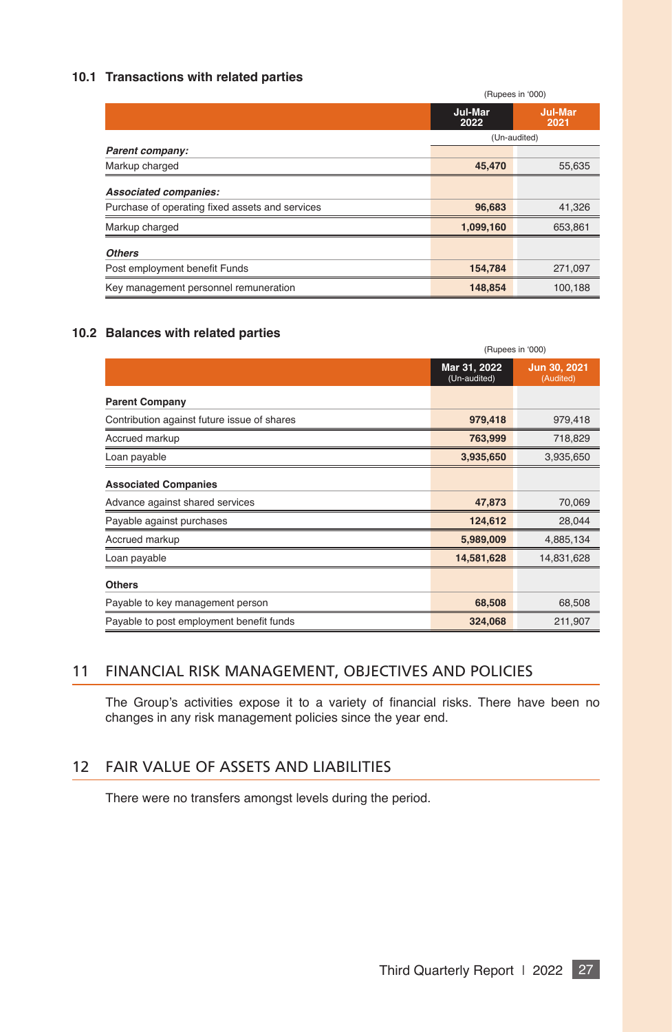#### **10.1 Transactions with related parties**

|                                                 | (Rupees in '000) |                        |  |
|-------------------------------------------------|------------------|------------------------|--|
|                                                 | Jul-Mar<br>2022  | <b>Jul-Mar</b><br>2021 |  |
|                                                 | (Un-audited)     |                        |  |
| Parent company:                                 |                  |                        |  |
| Markup charged                                  | 45,470           | 55,635                 |  |
| Associated companies:                           |                  |                        |  |
| Purchase of operating fixed assets and services | 96,683           | 41,326                 |  |
| Markup charged                                  | 1,099,160        | 653.861                |  |
| <b>Others</b>                                   |                  |                        |  |
| Post employment benefit Funds                   | 154,784          | 271,097                |  |
| Key management personnel remuneration           | 148,854          | 100,188                |  |

#### **10.2 Balances with related parties**

|                                             | (Rupees in '000)             |                           |  |  |
|---------------------------------------------|------------------------------|---------------------------|--|--|
|                                             | Mar 31, 2022<br>(Un-audited) | Jun 30, 2021<br>(Audited) |  |  |
| <b>Parent Company</b>                       |                              |                           |  |  |
| Contribution against future issue of shares | 979,418                      | 979,418                   |  |  |
| Accrued markup                              | 763,999                      | 718,829                   |  |  |
| Loan payable                                | 3,935,650                    | 3,935,650                 |  |  |
| <b>Associated Companies</b>                 |                              |                           |  |  |
| Advance against shared services             | 47,873                       | 70,069                    |  |  |
| Payable against purchases                   | 124,612                      | 28.044                    |  |  |
| Accrued markup                              | 5,989,009                    | 4,885,134                 |  |  |
| Loan payable                                | 14,581,628                   | 14,831,628                |  |  |
| <b>Others</b>                               |                              |                           |  |  |
| Payable to key management person            | 68,508                       | 68,508                    |  |  |
| Payable to post employment benefit funds    | 324,068                      | 211,907                   |  |  |

## 11 FINANCIAL RISK MANAGEMENT, OBJECTIVES AND POLICIES

The Group's activities expose it to a variety of financial risks. There have been no changes in any risk management policies since the year end.

## 12 FAIR VALUE OF ASSETS AND LIABILITIES

There were no transfers amongst levels during the period.

Third Quarterly Report | 2022 27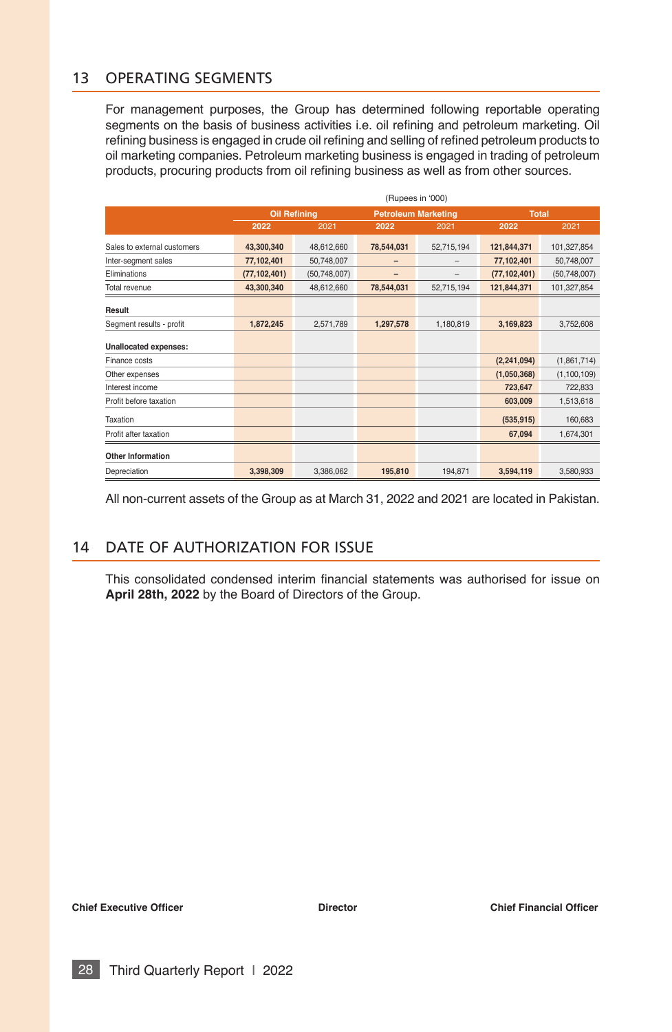## 13 OPERATING SEGMENTS

For management purposes, the Group has determined following reportable operating segments on the basis of business activities i.e. oil refning and petroleum marketing. Oil refning business is engaged in crude oil refning and selling of refned petroleum products to oil marketing companies. Petroleum marketing business is engaged in trading of petroleum products, procuring products from oil refining business as well as from other sources.

|                              | (Rupees in '000)    |                |                            |            |                |               |  |
|------------------------------|---------------------|----------------|----------------------------|------------|----------------|---------------|--|
|                              | <b>Oil Refining</b> |                | <b>Petroleum Marketing</b> |            | <b>Total</b>   |               |  |
|                              | 2022                | 2021           | 2022                       | 2021       | 2022           | 2021          |  |
| Sales to external customers  | 43,300,340          | 48,612,660     | 78,544,031                 | 52,715,194 | 121,844,371    | 101,327,854   |  |
| Inter-segment sales          | 77,102,401          | 50,748,007     |                            |            | 77,102,401     | 50,748,007    |  |
| <b>Fliminations</b>          | (77, 102, 401)      | (50, 748, 007) |                            | -          | (77, 102, 401) | (50,748,007)  |  |
| Total revenue                | 43,300,340          | 48,612,660     | 78,544,031                 | 52,715,194 | 121,844,371    | 101,327,854   |  |
| Result                       |                     |                |                            |            |                |               |  |
| Segment results - profit     | 1,872,245           | 2,571,789      | 1,297,578                  | 1,180,819  | 3,169,823      | 3,752,608     |  |
| <b>Unallocated expenses:</b> |                     |                |                            |            |                |               |  |
| Finance costs                |                     |                |                            |            | (2, 241, 094)  | (1,861,714)   |  |
| Other expenses               |                     |                |                            |            | (1,050,368)    | (1, 100, 109) |  |
| Interest income              |                     |                |                            |            | 723,647        | 722,833       |  |
| Profit before taxation       |                     |                |                            |            | 603,009        | 1,513,618     |  |
| Taxation                     |                     |                |                            |            | (535, 915)     | 160,683       |  |
| Profit after taxation        |                     |                |                            |            | 67,094         | 1,674,301     |  |
| <b>Other Information</b>     |                     |                |                            |            |                |               |  |
| Depreciation                 | 3,398,309           | 3,386,062      | 195,810                    | 194,871    | 3,594,119      | 3,580,933     |  |

All non-current assets of the Group as at March 31, 2022 and 2021 are located in Pakistan.

## 14 DATE OF AUTHORIZATION FOR ISSUE

This consolidated condensed interim fnancial statements was authorised for issue on **April 28th, 2022** by the Board of Directors of the Group.